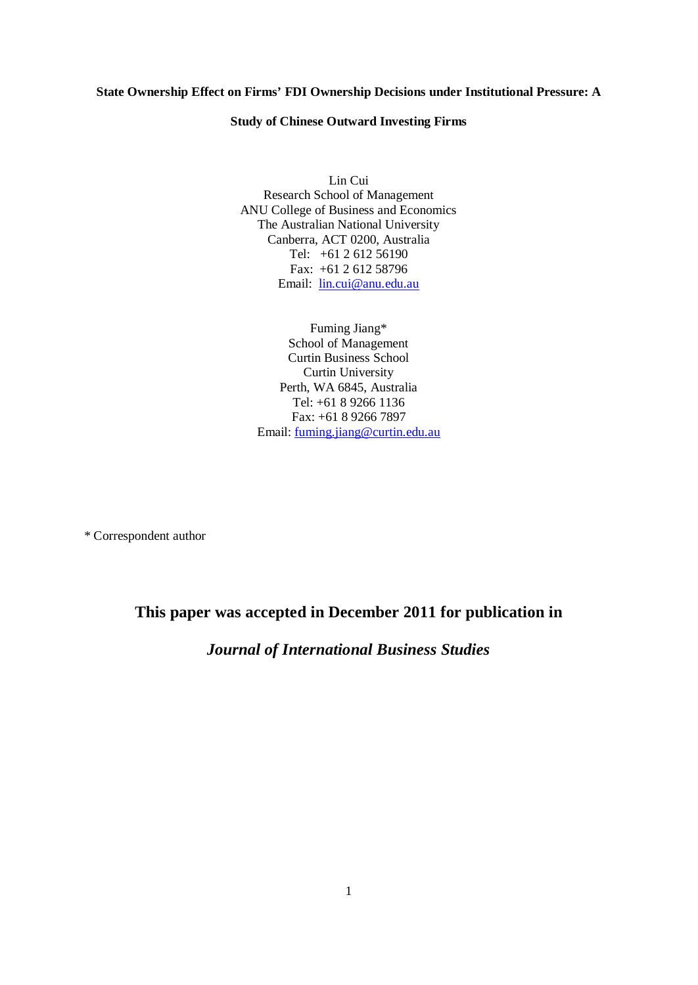# **State Ownership Effect on Firms' FDI Ownership Decisions under Institutional Pressure: A**

# **Study of Chinese Outward Investing Firms**

Lin Cui Research School of Management ANU College of Business and Economics The Australian National University Canberra, ACT 0200, Australia Tel: +61 2 612 56190 Fax: +61 2 612 58796 Email: [lin.cui@anu.edu.au](mailto:lin.cui@anu.edu.au)

Fuming Jiang\* School of Management Curtin Business School Curtin University Perth, WA 6845, Australia Tel: +61 8 9266 1136 Fax: +61 8 9266 7897 Email: [fuming.jiang@curtin.edu.au](mailto:fuming.jiang@curtin.edu.au)

\* Correspondent author

# **This paper was accepted in December 2011 for publication in**

*Journal of International Business Studies*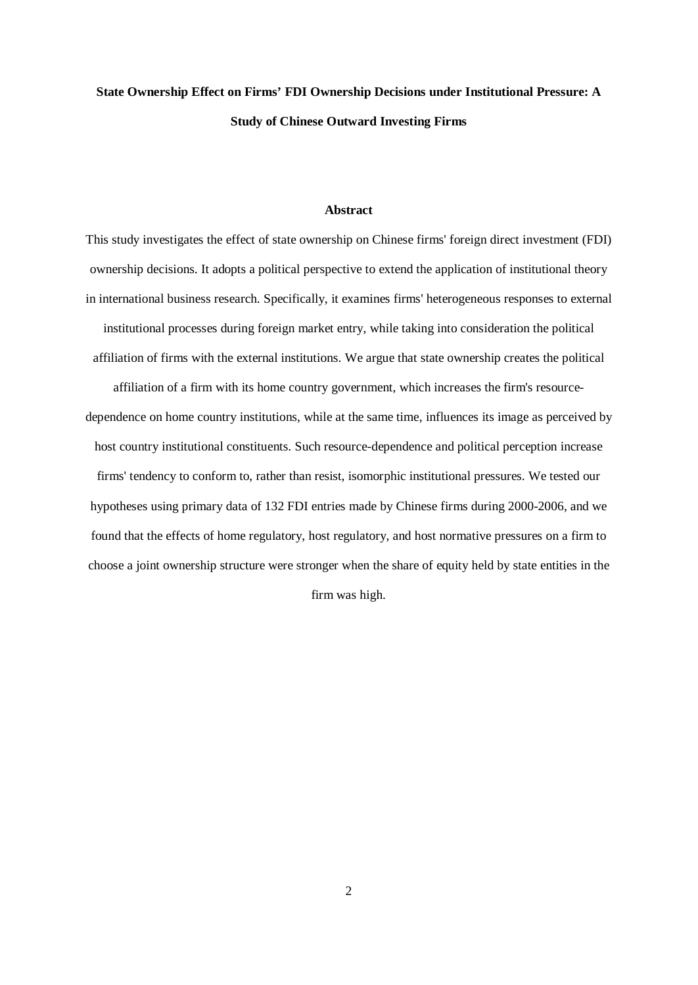# **State Ownership Effect on Firms' FDI Ownership Decisions under Institutional Pressure: A Study of Chinese Outward Investing Firms**

# **Abstract**

This study investigates the effect of state ownership on Chinese firms' foreign direct investment (FDI) ownership decisions. It adopts a political perspective to extend the application of institutional theory in international business research. Specifically, it examines firms' heterogeneous responses to external institutional processes during foreign market entry, while taking into consideration the political affiliation of firms with the external institutions. We argue that state ownership creates the political affiliation of a firm with its home country government, which increases the firm's resourcedependence on home country institutions, while at the same time, influences its image as perceived by host country institutional constituents. Such resource-dependence and political perception increase firms' tendency to conform to, rather than resist, isomorphic institutional pressures. We tested our hypotheses using primary data of 132 FDI entries made by Chinese firms during 2000-2006, and we found that the effects of home regulatory, host regulatory, and host normative pressures on a firm to choose a joint ownership structure were stronger when the share of equity held by state entities in the firm was high.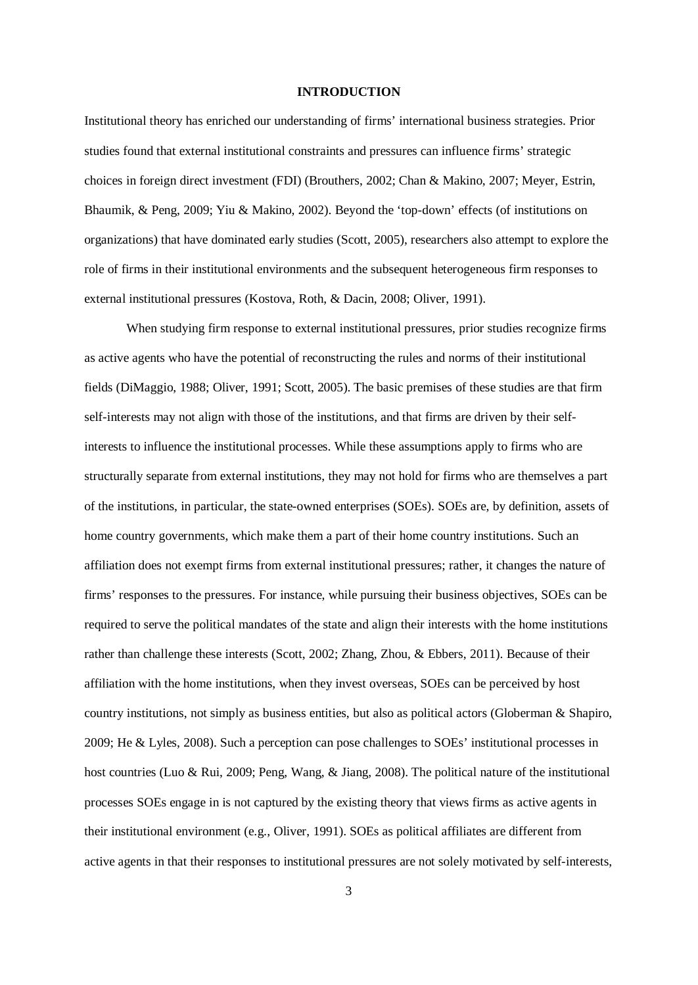#### **INTRODUCTION**

Institutional theory has enriched our understanding of firms' international business strategies. Prior studies found that external institutional constraints and pressures can influence firms' strategic choices in foreign direct investment (FDI) (Brouthers, 2002; Chan & Makino, 2007; Meyer, Estrin, Bhaumik, & Peng, 2009; Yiu & Makino, 2002). Beyond the 'top-down' effects (of institutions on organizations) that have dominated early studies (Scott, 2005), researchers also attempt to explore the role of firms in their institutional environments and the subsequent heterogeneous firm responses to external institutional pressures (Kostova, Roth, & Dacin, 2008; Oliver, 1991).

When studying firm response to external institutional pressures, prior studies recognize firms as active agents who have the potential of reconstructing the rules and norms of their institutional fields (DiMaggio, 1988; Oliver, 1991; Scott, 2005). The basic premises of these studies are that firm self-interests may not align with those of the institutions, and that firms are driven by their selfinterests to influence the institutional processes. While these assumptions apply to firms who are structurally separate from external institutions, they may not hold for firms who are themselves a part of the institutions, in particular, the state-owned enterprises (SOEs). SOEs are, by definition, assets of home country governments, which make them a part of their home country institutions. Such an affiliation does not exempt firms from external institutional pressures; rather, it changes the nature of firms' responses to the pressures. For instance, while pursuing their business objectives, SOEs can be required to serve the political mandates of the state and align their interests with the home institutions rather than challenge these interests (Scott, 2002; Zhang, Zhou, & Ebbers, 2011). Because of their affiliation with the home institutions, when they invest overseas, SOEs can be perceived by host country institutions, not simply as business entities, but also as political actors (Globerman & Shapiro, 2009; He & Lyles, 2008). Such a perception can pose challenges to SOEs' institutional processes in host countries (Luo & Rui, 2009; Peng, Wang, & Jiang, 2008). The political nature of the institutional processes SOEs engage in is not captured by the existing theory that views firms as active agents in their institutional environment (e.g., Oliver, 1991). SOEs as political affiliates are different from active agents in that their responses to institutional pressures are not solely motivated by self-interests,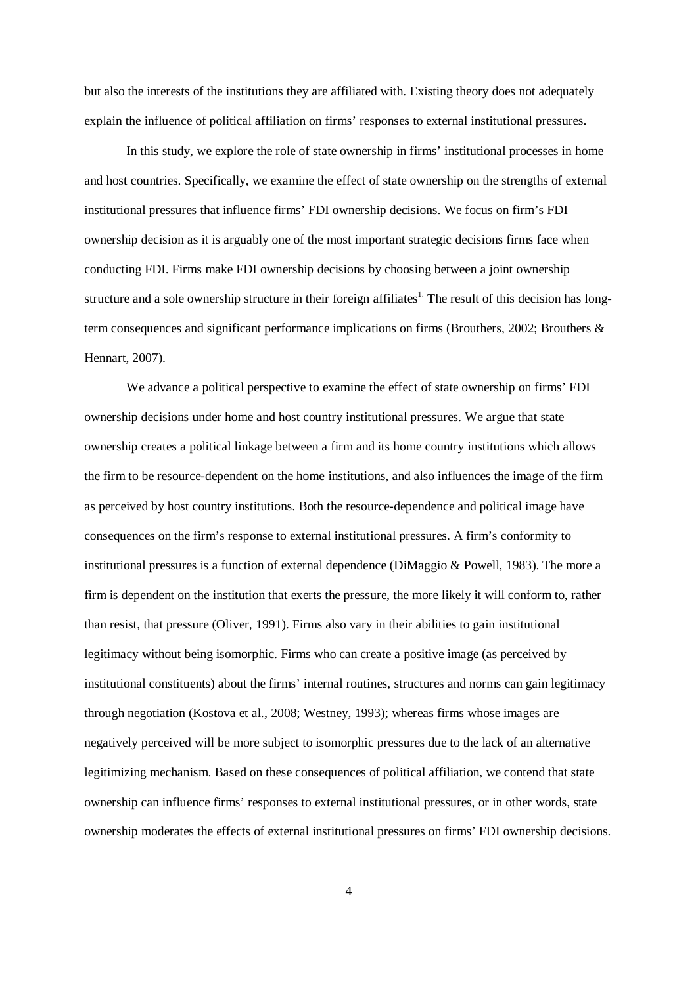but also the interests of the institutions they are affiliated with. Existing theory does not adequately explain the influence of political affiliation on firms' responses to external institutional pressures.

In this study, we explore the role of state ownership in firms' institutional processes in home and host countries. Specifically, we examine the effect of state ownership on the strengths of external institutional pressures that influence firms' FDI ownership decisions. We focus on firm's FDI ownership decision as it is arguably one of the most important strategic decisions firms face when conducting FDI. Firms make FDI ownership decisions by choosing between a joint ownership structure and a sole ownership structure in their foreign affiliates<sup>1.</sup> The result of this decision has longterm consequences and significant performance implications on firms (Brouthers, 2002; Brouthers & Hennart, 2007).

We advance a political perspective to examine the effect of state ownership on firms' FDI ownership decisions under home and host country institutional pressures. We argue that state ownership creates a political linkage between a firm and its home country institutions which allows the firm to be resource-dependent on the home institutions, and also influences the image of the firm as perceived by host country institutions. Both the resource-dependence and political image have consequences on the firm's response to external institutional pressures. A firm's conformity to institutional pressures is a function of external dependence (DiMaggio & Powell, 1983). The more a firm is dependent on the institution that exerts the pressure, the more likely it will conform to, rather than resist, that pressure (Oliver, 1991). Firms also vary in their abilities to gain institutional legitimacy without being isomorphic. Firms who can create a positive image (as perceived by institutional constituents) about the firms' internal routines, structures and norms can gain legitimacy through negotiation (Kostova et al., 2008; Westney, 1993); whereas firms whose images are negatively perceived will be more subject to isomorphic pressures due to the lack of an alternative legitimizing mechanism. Based on these consequences of political affiliation, we contend that state ownership can influence firms' responses to external institutional pressures, or in other words, state ownership moderates the effects of external institutional pressures on firms' FDI ownership decisions.

4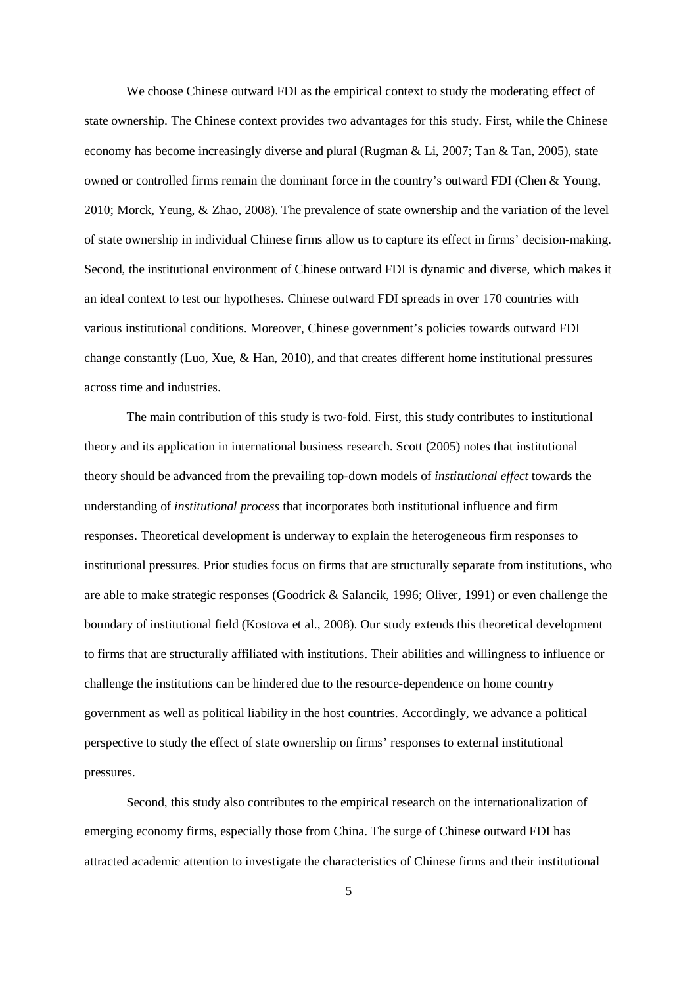We choose Chinese outward FDI as the empirical context to study the moderating effect of state ownership. The Chinese context provides two advantages for this study. First, while the Chinese economy has become increasingly diverse and plural (Rugman & Li, 2007; Tan & Tan, 2005), state owned or controlled firms remain the dominant force in the country's outward FDI (Chen & Young, 2010; Morck, Yeung, & Zhao, 2008). The prevalence of state ownership and the variation of the level of state ownership in individual Chinese firms allow us to capture its effect in firms' decision-making. Second, the institutional environment of Chinese outward FDI is dynamic and diverse, which makes it an ideal context to test our hypotheses. Chinese outward FDI spreads in over 170 countries with various institutional conditions. Moreover, Chinese government's policies towards outward FDI change constantly (Luo, Xue, & Han, 2010), and that creates different home institutional pressures across time and industries.

The main contribution of this study is two-fold. First, this study contributes to institutional theory and its application in international business research. Scott (2005) notes that institutional theory should be advanced from the prevailing top-down models of *institutional effect* towards the understanding of *institutional process* that incorporates both institutional influence and firm responses. Theoretical development is underway to explain the heterogeneous firm responses to institutional pressures. Prior studies focus on firms that are structurally separate from institutions, who are able to make strategic responses (Goodrick & Salancik, 1996; Oliver, 1991) or even challenge the boundary of institutional field (Kostova et al., 2008). Our study extends this theoretical development to firms that are structurally affiliated with institutions. Their abilities and willingness to influence or challenge the institutions can be hindered due to the resource-dependence on home country government as well as political liability in the host countries. Accordingly, we advance a political perspective to study the effect of state ownership on firms' responses to external institutional pressures.

Second, this study also contributes to the empirical research on the internationalization of emerging economy firms, especially those from China. The surge of Chinese outward FDI has attracted academic attention to investigate the characteristics of Chinese firms and their institutional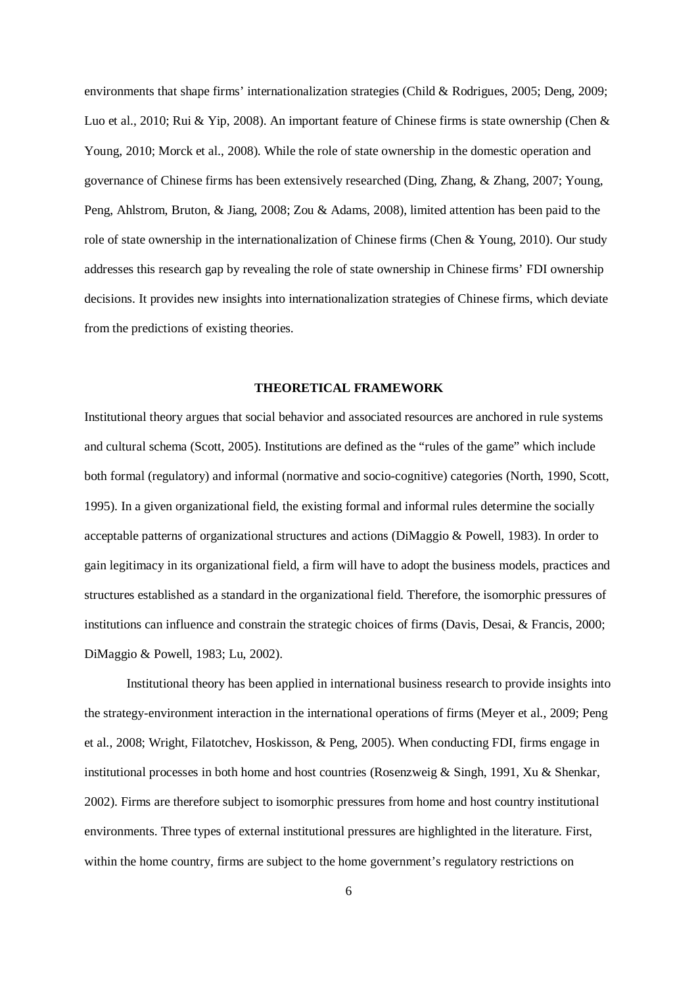environments that shape firms' internationalization strategies (Child & Rodrigues, 2005; Deng, 2009; Luo et al., 2010; Rui & Yip, 2008). An important feature of Chinese firms is state ownership (Chen & Young, 2010; Morck et al., 2008). While the role of state ownership in the domestic operation and governance of Chinese firms has been extensively researched (Ding, Zhang, & Zhang, 2007; Young, Peng, Ahlstrom, Bruton, & Jiang, 2008; Zou & Adams, 2008), limited attention has been paid to the role of state ownership in the internationalization of Chinese firms (Chen & Young, 2010). Our study addresses this research gap by revealing the role of state ownership in Chinese firms' FDI ownership decisions. It provides new insights into internationalization strategies of Chinese firms, which deviate from the predictions of existing theories.

#### **THEORETICAL FRAMEWORK**

Institutional theory argues that social behavior and associated resources are anchored in rule systems and cultural schema (Scott, 2005). Institutions are defined as the "rules of the game" which include both formal (regulatory) and informal (normative and socio-cognitive) categories (North, 1990, Scott, 1995). In a given organizational field, the existing formal and informal rules determine the socially acceptable patterns of organizational structures and actions (DiMaggio & Powell, 1983). In order to gain legitimacy in its organizational field, a firm will have to adopt the business models, practices and structures established as a standard in the organizational field. Therefore, the isomorphic pressures of institutions can influence and constrain the strategic choices of firms (Davis, Desai, & Francis, 2000; DiMaggio & Powell, 1983; Lu, 2002).

Institutional theory has been applied in international business research to provide insights into the strategy-environment interaction in the international operations of firms (Meyer et al., 2009; Peng et al., 2008; Wright, Filatotchev, Hoskisson, & Peng, 2005). When conducting FDI, firms engage in institutional processes in both home and host countries (Rosenzweig & Singh, 1991, Xu & Shenkar, 2002). Firms are therefore subject to isomorphic pressures from home and host country institutional environments. Three types of external institutional pressures are highlighted in the literature. First, within the home country, firms are subject to the home government's regulatory restrictions on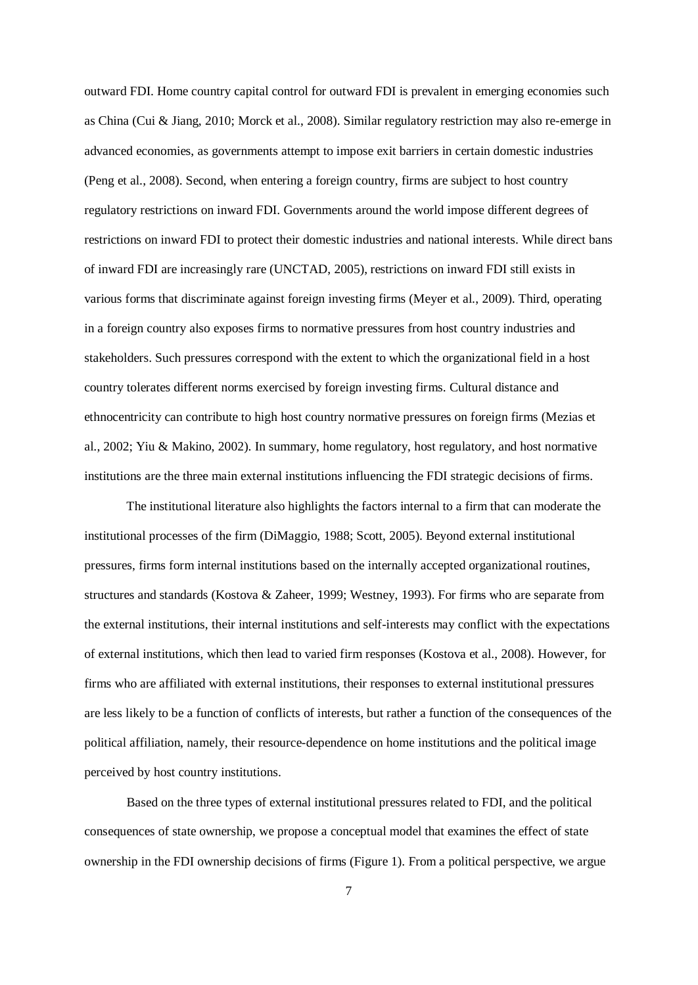outward FDI. Home country capital control for outward FDI is prevalent in emerging economies such as China (Cui & Jiang, 2010; Morck et al., 2008). Similar regulatory restriction may also re-emerge in advanced economies, as governments attempt to impose exit barriers in certain domestic industries (Peng et al., 2008). Second, when entering a foreign country, firms are subject to host country regulatory restrictions on inward FDI. Governments around the world impose different degrees of restrictions on inward FDI to protect their domestic industries and national interests. While direct bans of inward FDI are increasingly rare (UNCTAD, 2005), restrictions on inward FDI still exists in various forms that discriminate against foreign investing firms (Meyer et al., 2009). Third, operating in a foreign country also exposes firms to normative pressures from host country industries and stakeholders. Such pressures correspond with the extent to which the organizational field in a host country tolerates different norms exercised by foreign investing firms. Cultural distance and ethnocentricity can contribute to high host country normative pressures on foreign firms (Mezias et al., 2002; Yiu & Makino, 2002). In summary, home regulatory, host regulatory, and host normative institutions are the three main external institutions influencing the FDI strategic decisions of firms.

The institutional literature also highlights the factors internal to a firm that can moderate the institutional processes of the firm (DiMaggio, 1988; Scott, 2005). Beyond external institutional pressures, firms form internal institutions based on the internally accepted organizational routines, structures and standards (Kostova & Zaheer, 1999; Westney, 1993). For firms who are separate from the external institutions, their internal institutions and self-interests may conflict with the expectations of external institutions, which then lead to varied firm responses (Kostova et al., 2008). However, for firms who are affiliated with external institutions, their responses to external institutional pressures are less likely to be a function of conflicts of interests, but rather a function of the consequences of the political affiliation, namely, their resource-dependence on home institutions and the political image perceived by host country institutions.

Based on the three types of external institutional pressures related to FDI, and the political consequences of state ownership, we propose a conceptual model that examines the effect of state ownership in the FDI ownership decisions of firms (Figure 1). From a political perspective, we argue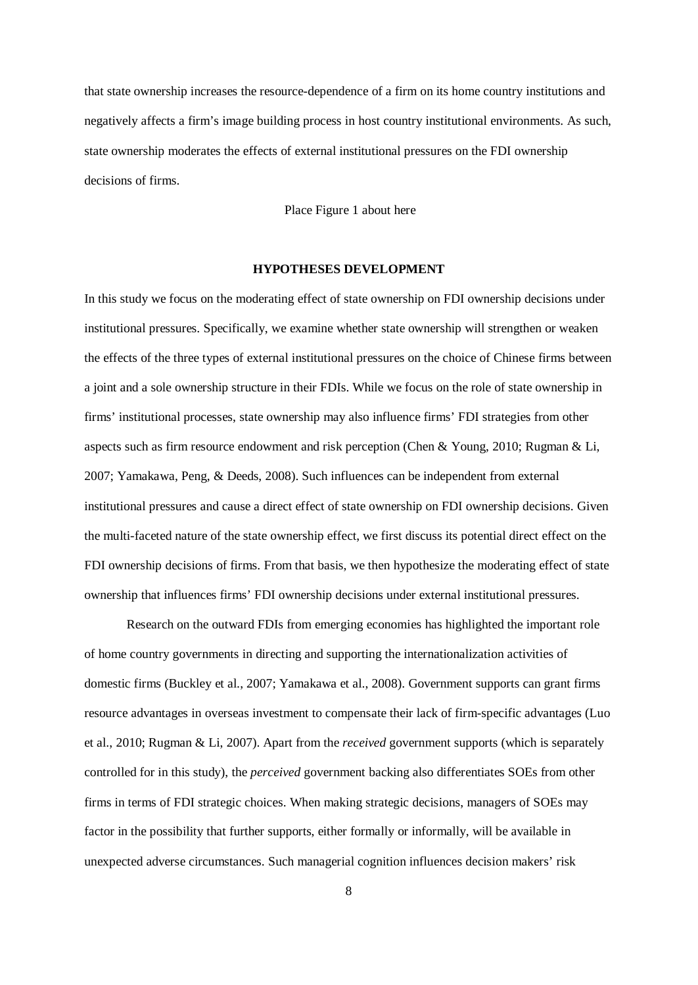that state ownership increases the resource-dependence of a firm on its home country institutions and negatively affects a firm's image building process in host country institutional environments. As such, state ownership moderates the effects of external institutional pressures on the FDI ownership decisions of firms.

Place Figure 1 about here

#### **HYPOTHESES DEVELOPMENT**

In this study we focus on the moderating effect of state ownership on FDI ownership decisions under institutional pressures. Specifically, we examine whether state ownership will strengthen or weaken the effects of the three types of external institutional pressures on the choice of Chinese firms between a joint and a sole ownership structure in their FDIs. While we focus on the role of state ownership in firms' institutional processes, state ownership may also influence firms' FDI strategies from other aspects such as firm resource endowment and risk perception (Chen & Young, 2010; Rugman & Li, 2007; Yamakawa, Peng, & Deeds, 2008). Such influences can be independent from external institutional pressures and cause a direct effect of state ownership on FDI ownership decisions. Given the multi-faceted nature of the state ownership effect, we first discuss its potential direct effect on the FDI ownership decisions of firms. From that basis, we then hypothesize the moderating effect of state ownership that influences firms' FDI ownership decisions under external institutional pressures.

Research on the outward FDIs from emerging economies has highlighted the important role of home country governments in directing and supporting the internationalization activities of domestic firms (Buckley et al., 2007; Yamakawa et al., 2008). Government supports can grant firms resource advantages in overseas investment to compensate their lack of firm-specific advantages (Luo et al., 2010; Rugman & Li, 2007). Apart from the *received* government supports (which is separately controlled for in this study), the *perceived* government backing also differentiates SOEs from other firms in terms of FDI strategic choices. When making strategic decisions, managers of SOEs may factor in the possibility that further supports, either formally or informally, will be available in unexpected adverse circumstances. Such managerial cognition influences decision makers' risk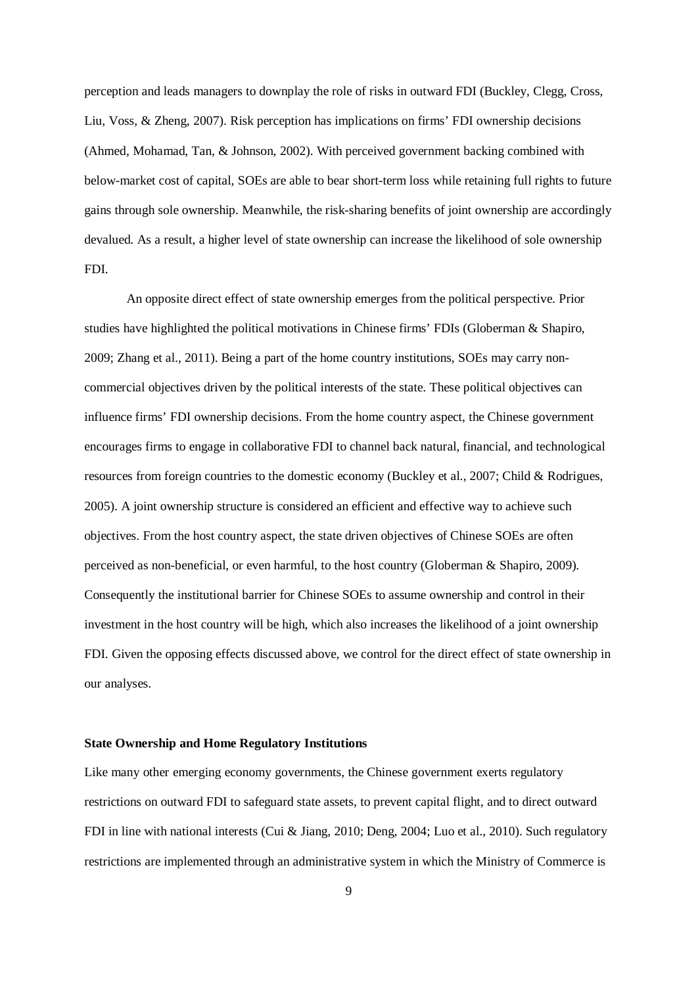perception and leads managers to downplay the role of risks in outward FDI (Buckley, Clegg, Cross, Liu, Voss, & Zheng, 2007). Risk perception has implications on firms' FDI ownership decisions (Ahmed, Mohamad, Tan, & Johnson, 2002). With perceived government backing combined with below-market cost of capital, SOEs are able to bear short-term loss while retaining full rights to future gains through sole ownership. Meanwhile, the risk-sharing benefits of joint ownership are accordingly devalued. As a result, a higher level of state ownership can increase the likelihood of sole ownership FDI.

An opposite direct effect of state ownership emerges from the political perspective. Prior studies have highlighted the political motivations in Chinese firms' FDIs (Globerman & Shapiro, 2009; Zhang et al., 2011). Being a part of the home country institutions, SOEs may carry noncommercial objectives driven by the political interests of the state. These political objectives can influence firms' FDI ownership decisions. From the home country aspect, the Chinese government encourages firms to engage in collaborative FDI to channel back natural, financial, and technological resources from foreign countries to the domestic economy (Buckley et al., 2007; Child & Rodrigues, 2005). A joint ownership structure is considered an efficient and effective way to achieve such objectives. From the host country aspect, the state driven objectives of Chinese SOEs are often perceived as non-beneficial, or even harmful, to the host country (Globerman & Shapiro, 2009). Consequently the institutional barrier for Chinese SOEs to assume ownership and control in their investment in the host country will be high, which also increases the likelihood of a joint ownership FDI. Given the opposing effects discussed above, we control for the direct effect of state ownership in our analyses.

# **State Ownership and Home Regulatory Institutions**

Like many other emerging economy governments, the Chinese government exerts regulatory restrictions on outward FDI to safeguard state assets, to prevent capital flight, and to direct outward FDI in line with national interests (Cui & Jiang, 2010; Deng, 2004; Luo et al., 2010). Such regulatory restrictions are implemented through an administrative system in which the Ministry of Commerce is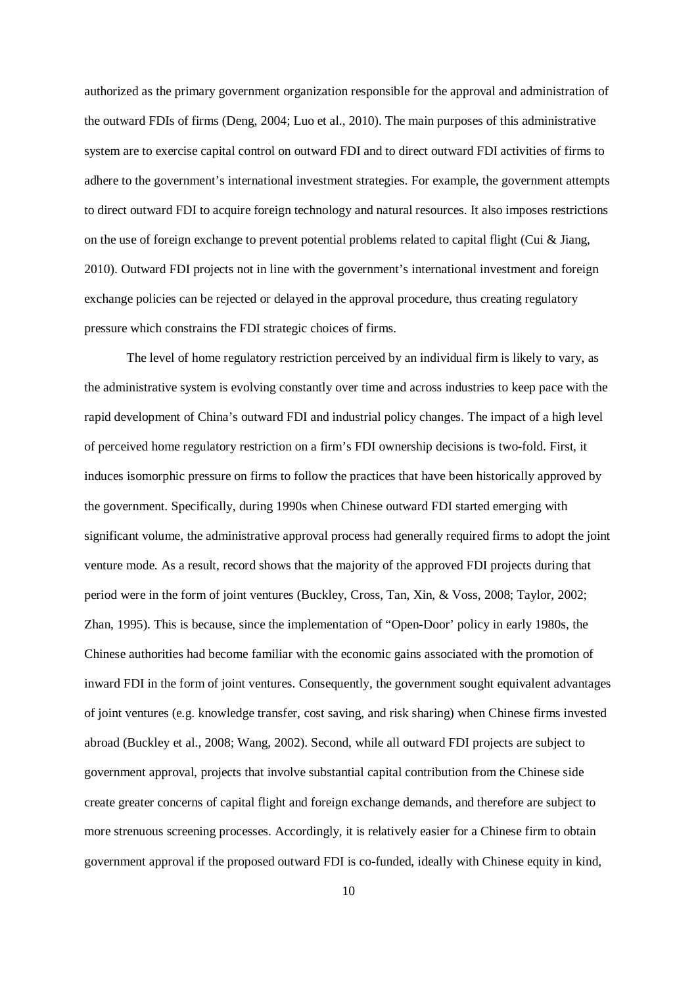authorized as the primary government organization responsible for the approval and administration of the outward FDIs of firms (Deng, 2004; Luo et al., 2010). The main purposes of this administrative system are to exercise capital control on outward FDI and to direct outward FDI activities of firms to adhere to the government's international investment strategies. For example, the government attempts to direct outward FDI to acquire foreign technology and natural resources. It also imposes restrictions on the use of foreign exchange to prevent potential problems related to capital flight (Cui  $\&$  Jiang, 2010). Outward FDI projects not in line with the government's international investment and foreign exchange policies can be rejected or delayed in the approval procedure, thus creating regulatory pressure which constrains the FDI strategic choices of firms.

The level of home regulatory restriction perceived by an individual firm is likely to vary, as the administrative system is evolving constantly over time and across industries to keep pace with the rapid development of China's outward FDI and industrial policy changes. The impact of a high level of perceived home regulatory restriction on a firm's FDI ownership decisions is two-fold. First, it induces isomorphic pressure on firms to follow the practices that have been historically approved by the government. Specifically, during 1990s when Chinese outward FDI started emerging with significant volume, the administrative approval process had generally required firms to adopt the joint venture mode. As a result, record shows that the majority of the approved FDI projects during that period were in the form of joint ventures (Buckley, Cross, Tan, Xin, & Voss, 2008; Taylor, 2002; Zhan, 1995). This is because, since the implementation of "Open-Door' policy in early 1980s, the Chinese authorities had become familiar with the economic gains associated with the promotion of inward FDI in the form of joint ventures. Consequently, the government sought equivalent advantages of joint ventures (e.g. knowledge transfer, cost saving, and risk sharing) when Chinese firms invested abroad (Buckley et al., 2008; Wang, 2002). Second, while all outward FDI projects are subject to government approval, projects that involve substantial capital contribution from the Chinese side create greater concerns of capital flight and foreign exchange demands, and therefore are subject to more strenuous screening processes. Accordingly, it is relatively easier for a Chinese firm to obtain government approval if the proposed outward FDI is co-funded, ideally with Chinese equity in kind,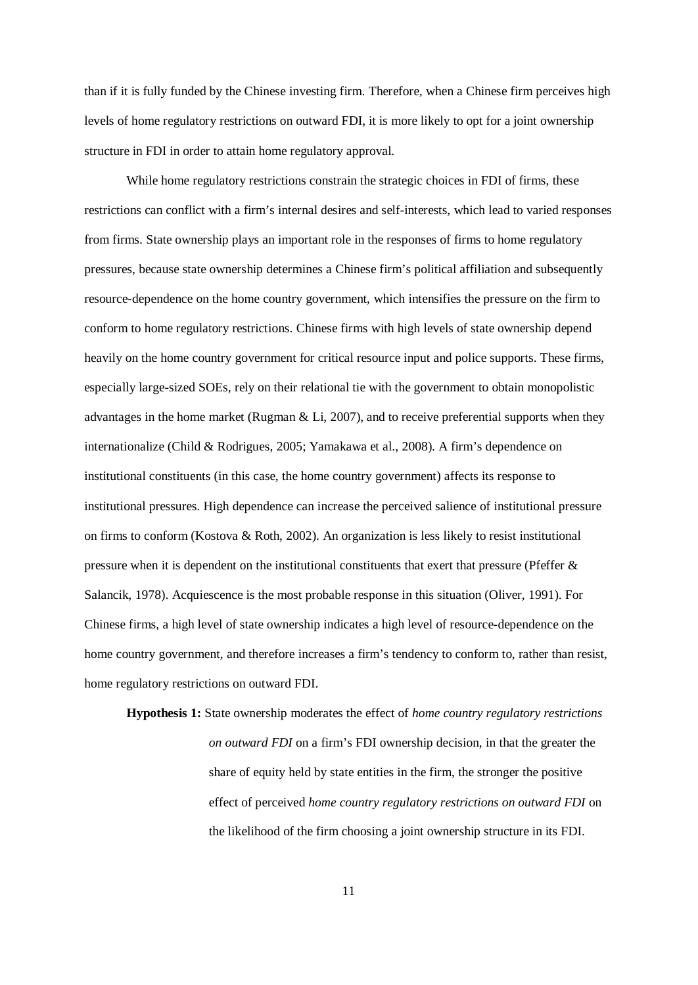than if it is fully funded by the Chinese investing firm. Therefore, when a Chinese firm perceives high levels of home regulatory restrictions on outward FDI, it is more likely to opt for a joint ownership structure in FDI in order to attain home regulatory approval.

While home regulatory restrictions constrain the strategic choices in FDI of firms, these restrictions can conflict with a firm's internal desires and self-interests, which lead to varied responses from firms. State ownership plays an important role in the responses of firms to home regulatory pressures, because state ownership determines a Chinese firm's political affiliation and subsequently resource-dependence on the home country government, which intensifies the pressure on the firm to conform to home regulatory restrictions. Chinese firms with high levels of state ownership depend heavily on the home country government for critical resource input and police supports. These firms, especially large-sized SOEs, rely on their relational tie with the government to obtain monopolistic advantages in the home market (Rugman & Li, 2007), and to receive preferential supports when they internationalize (Child & Rodrigues, 2005; Yamakawa et al., 2008). A firm's dependence on institutional constituents (in this case, the home country government) affects its response to institutional pressures. High dependence can increase the perceived salience of institutional pressure on firms to conform (Kostova & Roth, 2002). An organization is less likely to resist institutional pressure when it is dependent on the institutional constituents that exert that pressure (Pfeffer & Salancik, 1978). Acquiescence is the most probable response in this situation (Oliver, 1991). For Chinese firms, a high level of state ownership indicates a high level of resource-dependence on the home country government, and therefore increases a firm's tendency to conform to, rather than resist, home regulatory restrictions on outward FDI.

**Hypothesis 1:** State ownership moderates the effect of *home country regulatory restrictions on outward FDI* on a firm's FDI ownership decision, in that the greater the share of equity held by state entities in the firm, the stronger the positive effect of perceived *home country regulatory restrictions on outward FDI* on the likelihood of the firm choosing a joint ownership structure in its FDI.

11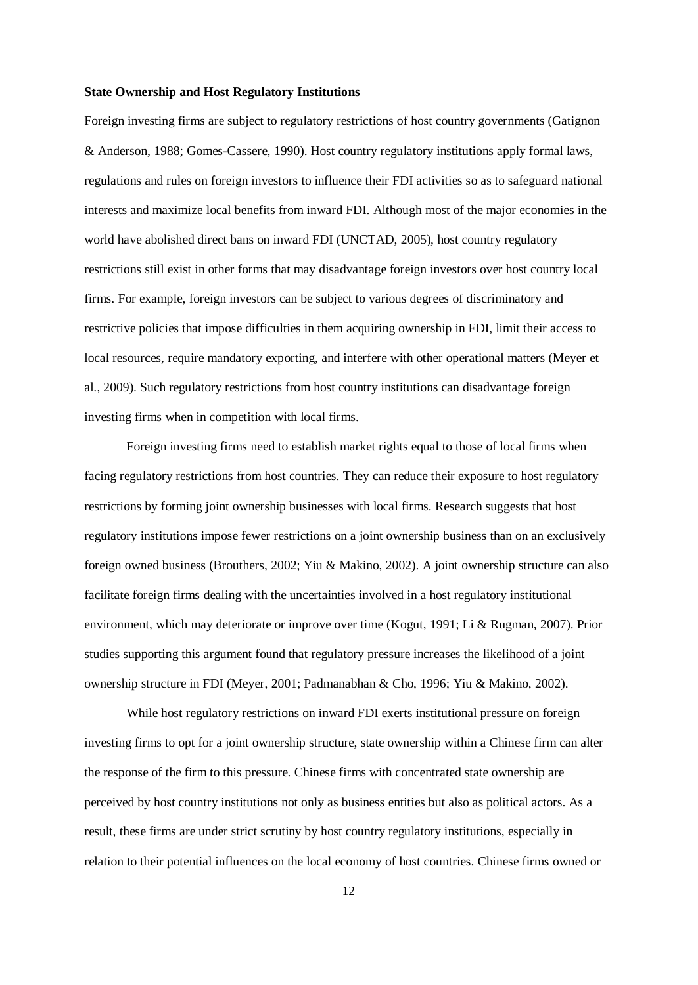#### **State Ownership and Host Regulatory Institutions**

Foreign investing firms are subject to regulatory restrictions of host country governments (Gatignon & Anderson, 1988; Gomes-Cassere, 1990). Host country regulatory institutions apply formal laws, regulations and rules on foreign investors to influence their FDI activities so as to safeguard national interests and maximize local benefits from inward FDI. Although most of the major economies in the world have abolished direct bans on inward FDI (UNCTAD, 2005), host country regulatory restrictions still exist in other forms that may disadvantage foreign investors over host country local firms. For example, foreign investors can be subject to various degrees of discriminatory and restrictive policies that impose difficulties in them acquiring ownership in FDI, limit their access to local resources, require mandatory exporting, and interfere with other operational matters (Meyer et al., 2009). Such regulatory restrictions from host country institutions can disadvantage foreign investing firms when in competition with local firms.

Foreign investing firms need to establish market rights equal to those of local firms when facing regulatory restrictions from host countries. They can reduce their exposure to host regulatory restrictions by forming joint ownership businesses with local firms. Research suggests that host regulatory institutions impose fewer restrictions on a joint ownership business than on an exclusively foreign owned business (Brouthers, 2002; Yiu & Makino, 2002). A joint ownership structure can also facilitate foreign firms dealing with the uncertainties involved in a host regulatory institutional environment, which may deteriorate or improve over time (Kogut, 1991; Li & Rugman, 2007). Prior studies supporting this argument found that regulatory pressure increases the likelihood of a joint ownership structure in FDI (Meyer, 2001; Padmanabhan & Cho, 1996; Yiu & Makino, 2002).

While host regulatory restrictions on inward FDI exerts institutional pressure on foreign investing firms to opt for a joint ownership structure, state ownership within a Chinese firm can alter the response of the firm to this pressure. Chinese firms with concentrated state ownership are perceived by host country institutions not only as business entities but also as political actors. As a result, these firms are under strict scrutiny by host country regulatory institutions, especially in relation to their potential influences on the local economy of host countries. Chinese firms owned or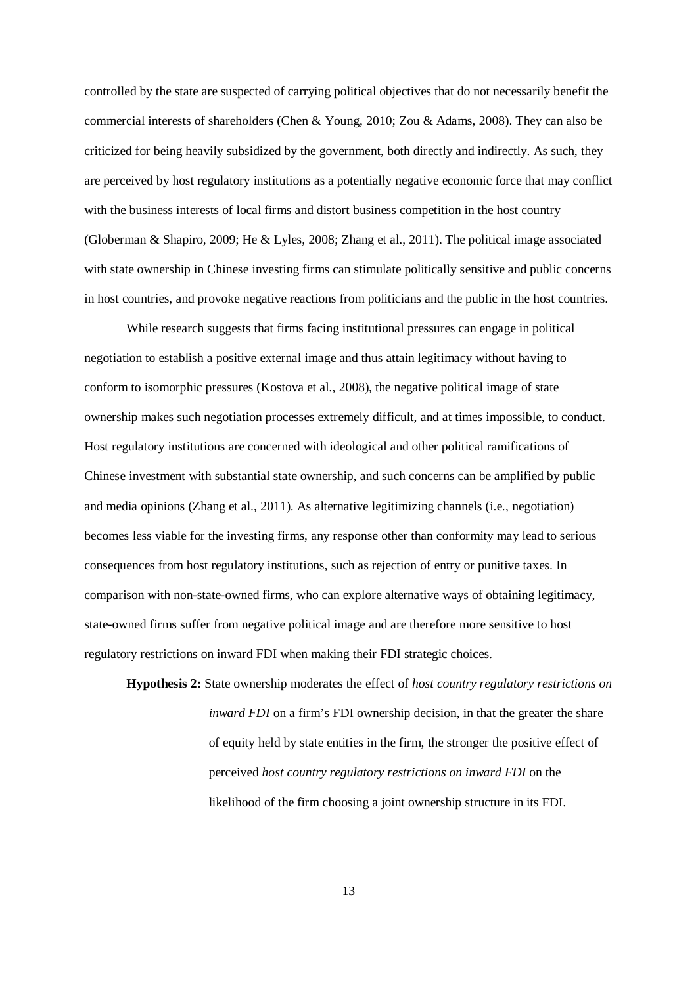controlled by the state are suspected of carrying political objectives that do not necessarily benefit the commercial interests of shareholders (Chen & Young, 2010; Zou & Adams, 2008). They can also be criticized for being heavily subsidized by the government, both directly and indirectly. As such, they are perceived by host regulatory institutions as a potentially negative economic force that may conflict with the business interests of local firms and distort business competition in the host country (Globerman & Shapiro, 2009; He & Lyles, 2008; Zhang et al., 2011). The political image associated with state ownership in Chinese investing firms can stimulate politically sensitive and public concerns in host countries, and provoke negative reactions from politicians and the public in the host countries.

While research suggests that firms facing institutional pressures can engage in political negotiation to establish a positive external image and thus attain legitimacy without having to conform to isomorphic pressures (Kostova et al., 2008), the negative political image of state ownership makes such negotiation processes extremely difficult, and at times impossible, to conduct. Host regulatory institutions are concerned with ideological and other political ramifications of Chinese investment with substantial state ownership, and such concerns can be amplified by public and media opinions (Zhang et al., 2011). As alternative legitimizing channels (i.e., negotiation) becomes less viable for the investing firms, any response other than conformity may lead to serious consequences from host regulatory institutions, such as rejection of entry or punitive taxes. In comparison with non-state-owned firms, who can explore alternative ways of obtaining legitimacy, state-owned firms suffer from negative political image and are therefore more sensitive to host regulatory restrictions on inward FDI when making their FDI strategic choices.

**Hypothesis 2:** State ownership moderates the effect of *host country regulatory restrictions on inward FDI* on a firm's FDI ownership decision, in that the greater the share of equity held by state entities in the firm, the stronger the positive effect of perceived *host country regulatory restrictions on inward FDI* on the likelihood of the firm choosing a joint ownership structure in its FDI.

13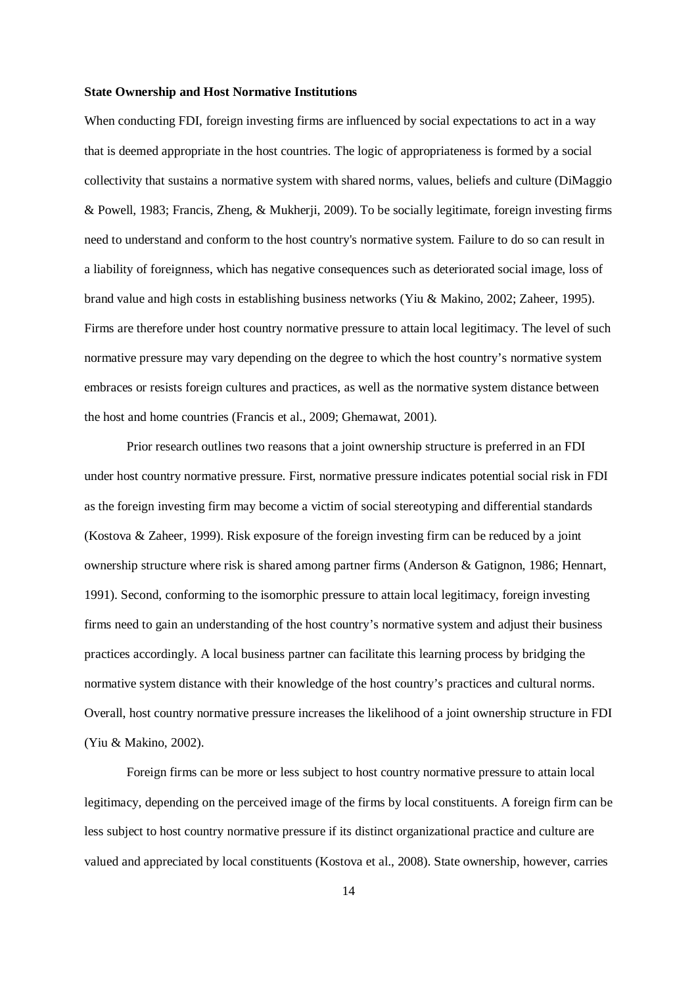#### **State Ownership and Host Normative Institutions**

When conducting FDI, foreign investing firms are influenced by social expectations to act in a way that is deemed appropriate in the host countries. The logic of appropriateness is formed by a social collectivity that sustains a normative system with shared norms, values, beliefs and culture (DiMaggio & Powell, 1983; Francis, Zheng, & Mukherji, 2009). To be socially legitimate, foreign investing firms need to understand and conform to the host country's normative system. Failure to do so can result in a liability of foreignness, which has negative consequences such as deteriorated social image, loss of brand value and high costs in establishing business networks (Yiu & Makino, 2002; Zaheer, 1995). Firms are therefore under host country normative pressure to attain local legitimacy. The level of such normative pressure may vary depending on the degree to which the host country's normative system embraces or resists foreign cultures and practices, as well as the normative system distance between the host and home countries (Francis et al., 2009; Ghemawat, 2001).

Prior research outlines two reasons that a joint ownership structure is preferred in an FDI under host country normative pressure. First, normative pressure indicates potential social risk in FDI as the foreign investing firm may become a victim of social stereotyping and differential standards (Kostova & Zaheer, 1999). Risk exposure of the foreign investing firm can be reduced by a joint ownership structure where risk is shared among partner firms (Anderson & Gatignon, 1986; Hennart, 1991). Second, conforming to the isomorphic pressure to attain local legitimacy, foreign investing firms need to gain an understanding of the host country's normative system and adjust their business practices accordingly. A local business partner can facilitate this learning process by bridging the normative system distance with their knowledge of the host country's practices and cultural norms. Overall, host country normative pressure increases the likelihood of a joint ownership structure in FDI (Yiu & Makino, 2002).

Foreign firms can be more or less subject to host country normative pressure to attain local legitimacy, depending on the perceived image of the firms by local constituents. A foreign firm can be less subject to host country normative pressure if its distinct organizational practice and culture are valued and appreciated by local constituents (Kostova et al., 2008). State ownership, however, carries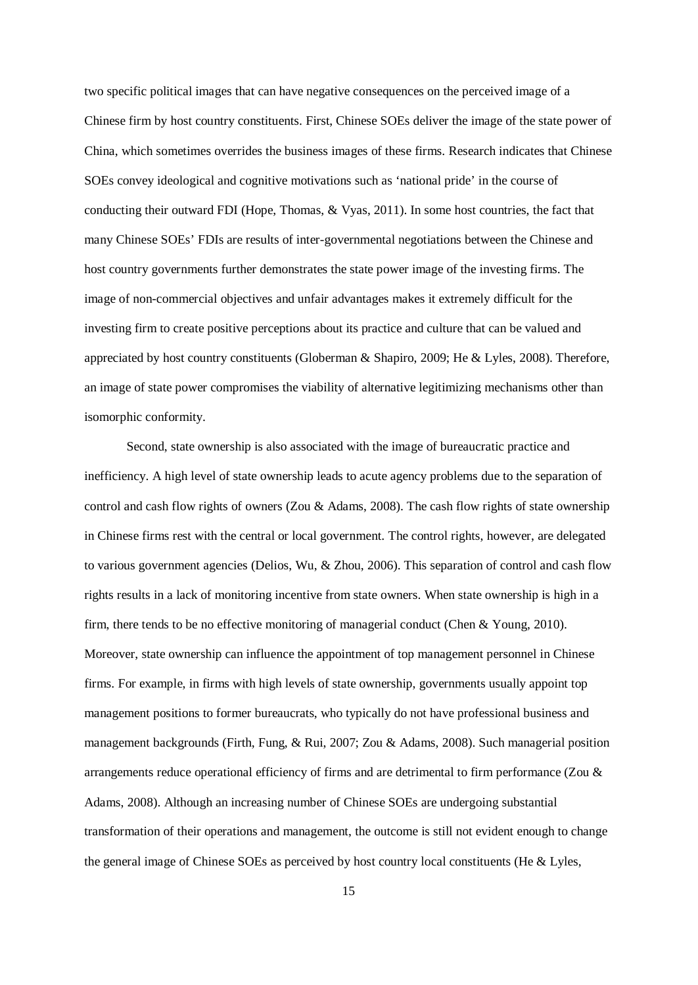two specific political images that can have negative consequences on the perceived image of a Chinese firm by host country constituents. First, Chinese SOEs deliver the image of the state power of China, which sometimes overrides the business images of these firms. Research indicates that Chinese SOEs convey ideological and cognitive motivations such as 'national pride' in the course of conducting their outward FDI (Hope, Thomas, & Vyas, 2011). In some host countries, the fact that many Chinese SOEs' FDIs are results of inter-governmental negotiations between the Chinese and host country governments further demonstrates the state power image of the investing firms. The image of non-commercial objectives and unfair advantages makes it extremely difficult for the investing firm to create positive perceptions about its practice and culture that can be valued and appreciated by host country constituents (Globerman & Shapiro, 2009; He & Lyles, 2008). Therefore, an image of state power compromises the viability of alternative legitimizing mechanisms other than isomorphic conformity.

Second, state ownership is also associated with the image of bureaucratic practice and inefficiency. A high level of state ownership leads to acute agency problems due to the separation of control and cash flow rights of owners (Zou & Adams, 2008). The cash flow rights of state ownership in Chinese firms rest with the central or local government. The control rights, however, are delegated to various government agencies (Delios, Wu, & Zhou, 2006). This separation of control and cash flow rights results in a lack of monitoring incentive from state owners. When state ownership is high in a firm, there tends to be no effective monitoring of managerial conduct (Chen & Young, 2010). Moreover, state ownership can influence the appointment of top management personnel in Chinese firms. For example, in firms with high levels of state ownership, governments usually appoint top management positions to former bureaucrats, who typically do not have professional business and management backgrounds (Firth, Fung, & Rui, 2007; Zou & Adams, 2008). Such managerial position arrangements reduce operational efficiency of firms and are detrimental to firm performance (Zou & Adams, 2008). Although an increasing number of Chinese SOEs are undergoing substantial transformation of their operations and management, the outcome is still not evident enough to change the general image of Chinese SOEs as perceived by host country local constituents (He & Lyles,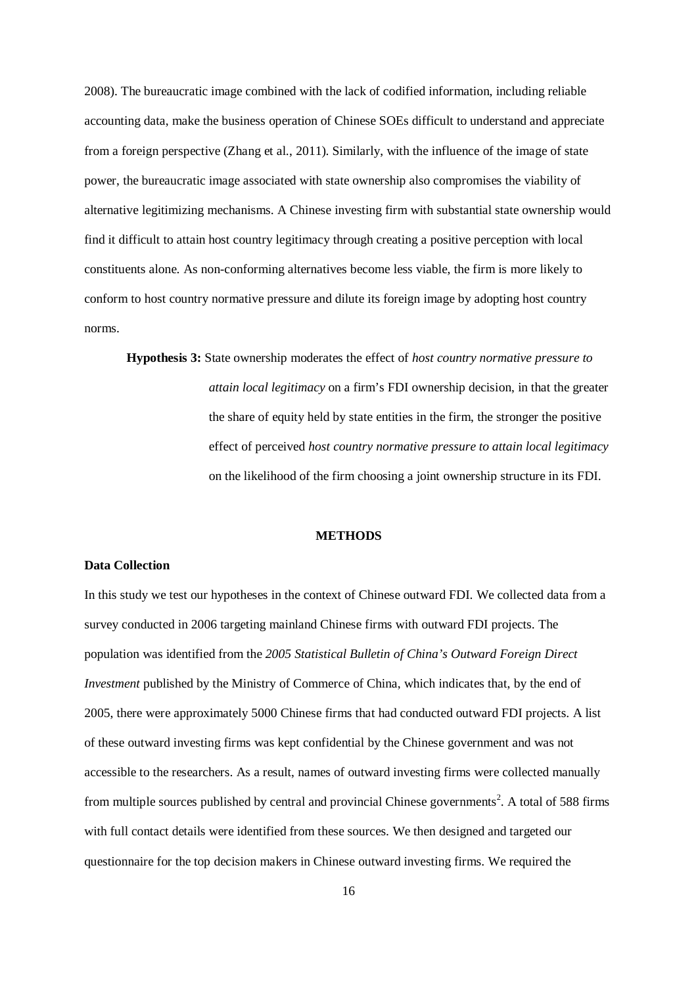2008). The bureaucratic image combined with the lack of codified information, including reliable accounting data, make the business operation of Chinese SOEs difficult to understand and appreciate from a foreign perspective (Zhang et al., 2011). Similarly, with the influence of the image of state power, the bureaucratic image associated with state ownership also compromises the viability of alternative legitimizing mechanisms. A Chinese investing firm with substantial state ownership would find it difficult to attain host country legitimacy through creating a positive perception with local constituents alone. As non-conforming alternatives become less viable, the firm is more likely to conform to host country normative pressure and dilute its foreign image by adopting host country norms.

**Hypothesis 3:** State ownership moderates the effect of *host country normative pressure to attain local legitimacy* on a firm's FDI ownership decision, in that the greater the share of equity held by state entities in the firm, the stronger the positive effect of perceived *host country normative pressure to attain local legitimacy* on the likelihood of the firm choosing a joint ownership structure in its FDI.

#### **METHODS**

# **Data Collection**

In this study we test our hypotheses in the context of Chinese outward FDI. We collected data from a survey conducted in 2006 targeting mainland Chinese firms with outward FDI projects. The population was identified from the *2005 Statistical Bulletin of China's Outward Foreign Direct Investment* published by the Ministry of Commerce of China, which indicates that, by the end of 2005, there were approximately 5000 Chinese firms that had conducted outward FDI projects. A list of these outward investing firms was kept confidential by the Chinese government and was not accessible to the researchers. As a result, names of outward investing firms were collected manually from multiple sources published by central and provincial Chinese governments<sup>2</sup>. A total of 588 firms with full contact details were identified from these sources. We then designed and targeted our questionnaire for the top decision makers in Chinese outward investing firms. We required the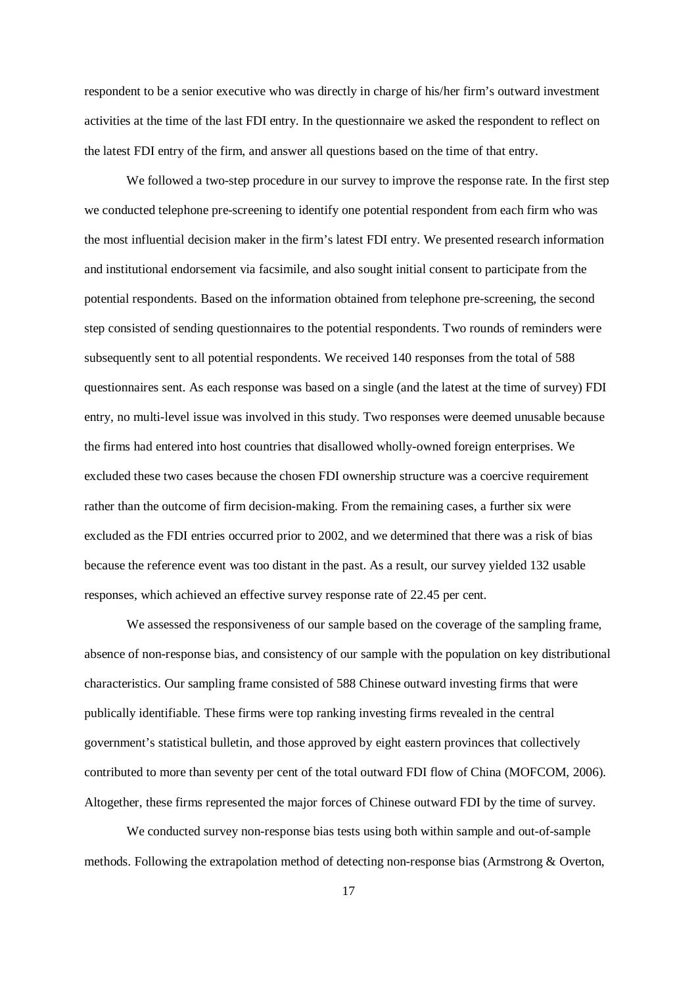respondent to be a senior executive who was directly in charge of his/her firm's outward investment activities at the time of the last FDI entry. In the questionnaire we asked the respondent to reflect on the latest FDI entry of the firm, and answer all questions based on the time of that entry.

We followed a two-step procedure in our survey to improve the response rate. In the first step we conducted telephone pre-screening to identify one potential respondent from each firm who was the most influential decision maker in the firm's latest FDI entry. We presented research information and institutional endorsement via facsimile, and also sought initial consent to participate from the potential respondents. Based on the information obtained from telephone pre-screening, the second step consisted of sending questionnaires to the potential respondents. Two rounds of reminders were subsequently sent to all potential respondents. We received 140 responses from the total of 588 questionnaires sent. As each response was based on a single (and the latest at the time of survey) FDI entry, no multi-level issue was involved in this study. Two responses were deemed unusable because the firms had entered into host countries that disallowed wholly-owned foreign enterprises. We excluded these two cases because the chosen FDI ownership structure was a coercive requirement rather than the outcome of firm decision-making. From the remaining cases, a further six were excluded as the FDI entries occurred prior to 2002, and we determined that there was a risk of bias because the reference event was too distant in the past. As a result, our survey yielded 132 usable responses, which achieved an effective survey response rate of 22.45 per cent.

We assessed the responsiveness of our sample based on the coverage of the sampling frame, absence of non-response bias, and consistency of our sample with the population on key distributional characteristics. Our sampling frame consisted of 588 Chinese outward investing firms that were publically identifiable. These firms were top ranking investing firms revealed in the central government's statistical bulletin, and those approved by eight eastern provinces that collectively contributed to more than seventy per cent of the total outward FDI flow of China (MOFCOM, 2006). Altogether, these firms represented the major forces of Chinese outward FDI by the time of survey.

We conducted survey non-response bias tests using both within sample and out-of-sample methods. Following the extrapolation method of detecting non-response bias (Armstrong & Overton,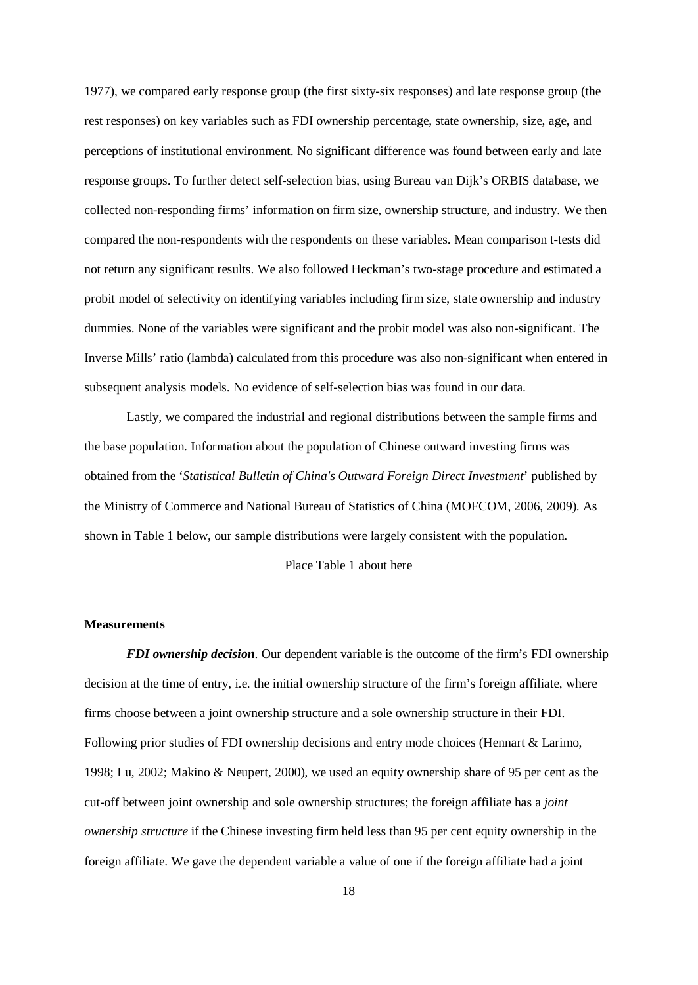1977), we compared early response group (the first sixty-six responses) and late response group (the rest responses) on key variables such as FDI ownership percentage, state ownership, size, age, and perceptions of institutional environment. No significant difference was found between early and late response groups. To further detect self-selection bias, using Bureau van Dijk's ORBIS database, we collected non-responding firms' information on firm size, ownership structure, and industry. We then compared the non-respondents with the respondents on these variables. Mean comparison t-tests did not return any significant results. We also followed Heckman's two-stage procedure and estimated a probit model of selectivity on identifying variables including firm size, state ownership and industry dummies. None of the variables were significant and the probit model was also non-significant. The Inverse Mills' ratio (lambda) calculated from this procedure was also non-significant when entered in subsequent analysis models. No evidence of self-selection bias was found in our data.

Lastly, we compared the industrial and regional distributions between the sample firms and the base population. Information about the population of Chinese outward investing firms was obtained from the '*Statistical Bulletin of China's Outward Foreign Direct Investment*' published by the Ministry of Commerce and National Bureau of Statistics of China (MOFCOM, 2006, 2009). As shown in Table 1 below, our sample distributions were largely consistent with the population.

#### Place Table 1 about here

# **Measurements**

*FDI ownership decision*. Our dependent variable is the outcome of the firm's FDI ownership decision at the time of entry, i.e. the initial ownership structure of the firm's foreign affiliate, where firms choose between a joint ownership structure and a sole ownership structure in their FDI. Following prior studies of FDI ownership decisions and entry mode choices (Hennart & Larimo, 1998; Lu, 2002; Makino & Neupert, 2000), we used an equity ownership share of 95 per cent as the cut-off between joint ownership and sole ownership structures; the foreign affiliate has a *joint ownership structure* if the Chinese investing firm held less than 95 per cent equity ownership in the foreign affiliate. We gave the dependent variable a value of one if the foreign affiliate had a joint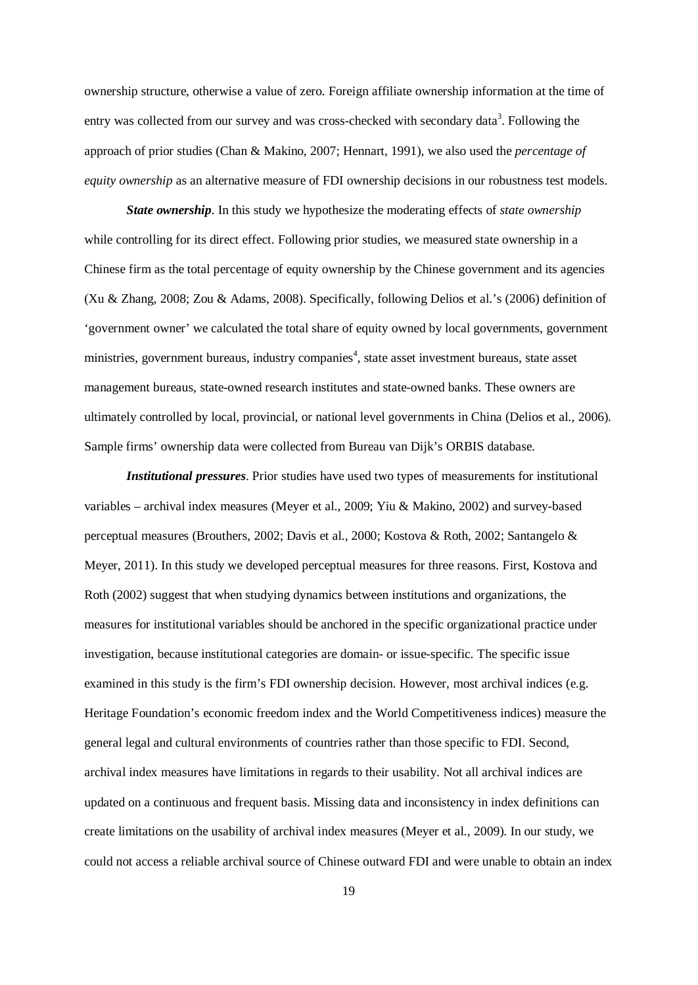ownership structure, otherwise a value of zero. Foreign affiliate ownership information at the time of entry was collected from our survey and was cross-checked with secondary data<sup>3</sup>. Following the approach of prior studies (Chan & Makino, 2007; Hennart, 1991), we also used the *percentage of equity ownership* as an alternative measure of FDI ownership decisions in our robustness test models.

*State ownership*. In this study we hypothesize the moderating effects of *state ownership* while controlling for its direct effect. Following prior studies, we measured state ownership in a Chinese firm as the total percentage of equity ownership by the Chinese government and its agencies (Xu & Zhang, 2008; Zou & Adams, 2008). Specifically, following Delios et al.'s (2006) definition of 'government owner' we calculated the total share of equity owned by local governments, government ministries, government bureaus, industry companies<sup>4</sup>, state asset investment bureaus, state asset management bureaus, state-owned research institutes and state-owned banks. These owners are ultimately controlled by local, provincial, or national level governments in China (Delios et al., 2006). Sample firms' ownership data were collected from Bureau van Dijk's ORBIS database.

*Institutional pressures*. Prior studies have used two types of measurements for institutional variables – archival index measures (Meyer et al., 2009; Yiu & Makino, 2002) and survey-based perceptual measures (Brouthers, 2002; Davis et al., 2000; Kostova & Roth, 2002; Santangelo & Meyer, 2011). In this study we developed perceptual measures for three reasons. First, Kostova and Roth (2002) suggest that when studying dynamics between institutions and organizations, the measures for institutional variables should be anchored in the specific organizational practice under investigation, because institutional categories are domain- or issue-specific. The specific issue examined in this study is the firm's FDI ownership decision. However, most archival indices (e.g. Heritage Foundation's economic freedom index and the World Competitiveness indices) measure the general legal and cultural environments of countries rather than those specific to FDI. Second, archival index measures have limitations in regards to their usability. Not all archival indices are updated on a continuous and frequent basis. Missing data and inconsistency in index definitions can create limitations on the usability of archival index measures (Meyer et al., 2009). In our study, we could not access a reliable archival source of Chinese outward FDI and were unable to obtain an index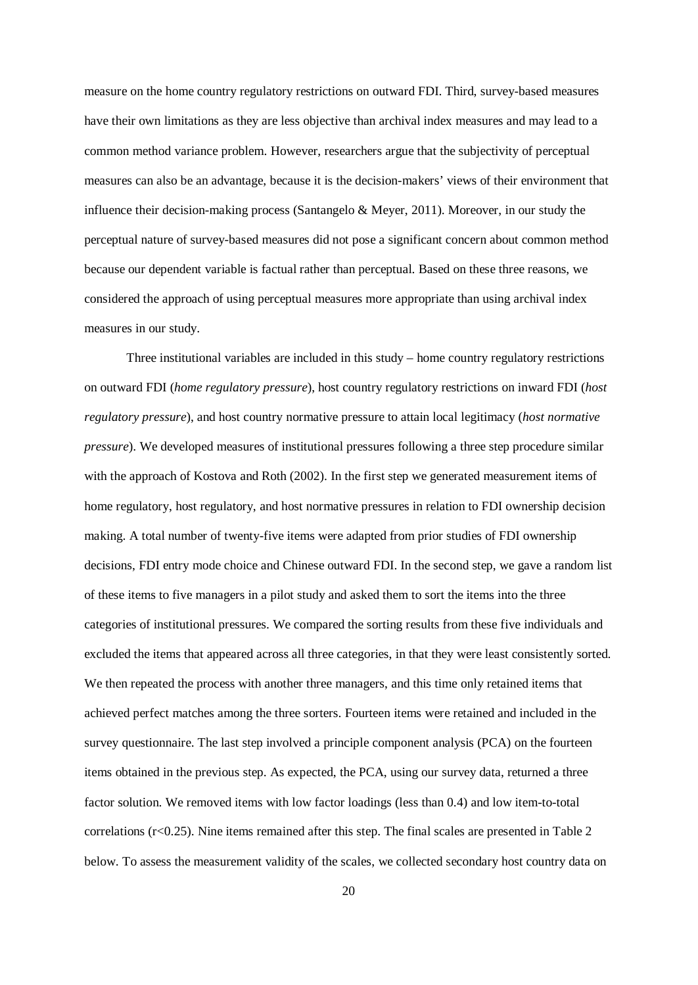measure on the home country regulatory restrictions on outward FDI. Third, survey-based measures have their own limitations as they are less objective than archival index measures and may lead to a common method variance problem. However, researchers argue that the subjectivity of perceptual measures can also be an advantage, because it is the decision-makers' views of their environment that influence their decision-making process (Santangelo  $\&$  Meyer, 2011). Moreover, in our study the perceptual nature of survey-based measures did not pose a significant concern about common method because our dependent variable is factual rather than perceptual. Based on these three reasons, we considered the approach of using perceptual measures more appropriate than using archival index measures in our study.

Three institutional variables are included in this study – home country regulatory restrictions on outward FDI (*home regulatory pressure*), host country regulatory restrictions on inward FDI (*host regulatory pressure*), and host country normative pressure to attain local legitimacy (*host normative pressure*). We developed measures of institutional pressures following a three step procedure similar with the approach of Kostova and Roth (2002). In the first step we generated measurement items of home regulatory, host regulatory, and host normative pressures in relation to FDI ownership decision making. A total number of twenty-five items were adapted from prior studies of FDI ownership decisions, FDI entry mode choice and Chinese outward FDI. In the second step, we gave a random list of these items to five managers in a pilot study and asked them to sort the items into the three categories of institutional pressures. We compared the sorting results from these five individuals and excluded the items that appeared across all three categories, in that they were least consistently sorted. We then repeated the process with another three managers, and this time only retained items that achieved perfect matches among the three sorters. Fourteen items were retained and included in the survey questionnaire. The last step involved a principle component analysis (PCA) on the fourteen items obtained in the previous step. As expected, the PCA, using our survey data, returned a three factor solution. We removed items with low factor loadings (less than 0.4) and low item-to-total correlations (r<0.25). Nine items remained after this step. The final scales are presented in Table 2 below. To assess the measurement validity of the scales, we collected secondary host country data on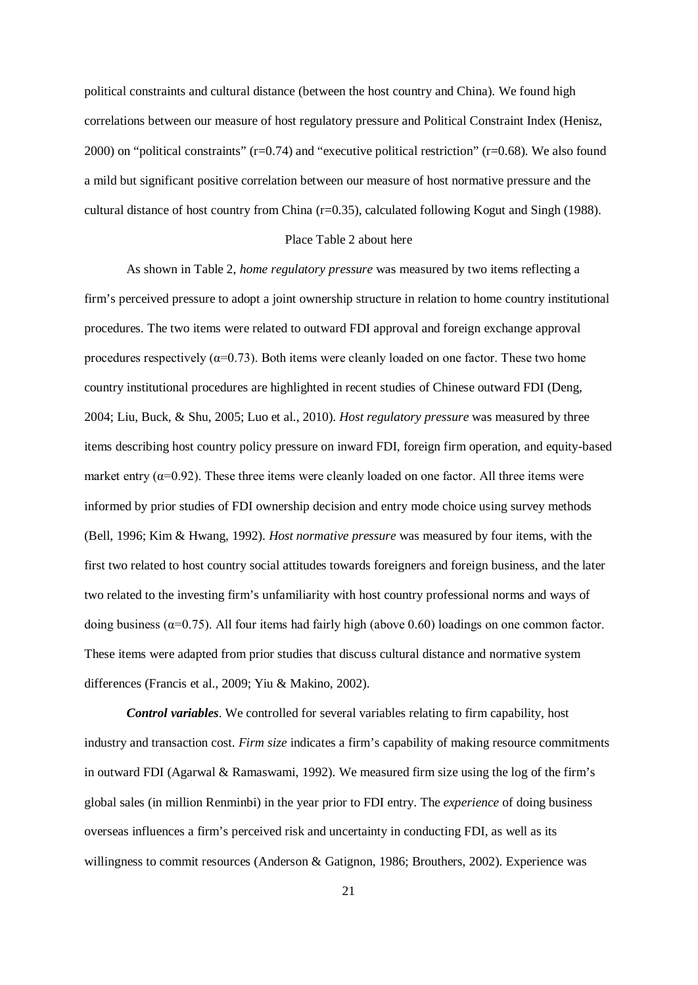political constraints and cultural distance (between the host country and China). We found high correlations between our measure of host regulatory pressure and Political Constraint Index (Henisz, 2000) on "political constraints" (r=0.74) and "executive political restriction" (r=0.68). We also found a mild but significant positive correlation between our measure of host normative pressure and the cultural distance of host country from China (r=0.35), calculated following Kogut and Singh (1988).

# Place Table 2 about here

As shown in Table 2, *home regulatory pressure* was measured by two items reflecting a firm's perceived pressure to adopt a joint ownership structure in relation to home country institutional procedures. The two items were related to outward FDI approval and foreign exchange approval procedures respectively  $(a=0.73)$ . Both items were cleanly loaded on one factor. These two home country institutional procedures are highlighted in recent studies of Chinese outward FDI (Deng, 2004; Liu, Buck, & Shu, 2005; Luo et al., 2010). *Host regulatory pressure* was measured by three items describing host country policy pressure on inward FDI, foreign firm operation, and equity-based market entry  $(\alpha=0.92)$ . These three items were cleanly loaded on one factor. All three items were informed by prior studies of FDI ownership decision and entry mode choice using survey methods (Bell, 1996; Kim & Hwang, 1992). *Host normative pressure* was measured by four items, with the first two related to host country social attitudes towards foreigners and foreign business, and the later two related to the investing firm's unfamiliarity with host country professional norms and ways of doing business ( $\alpha$ =0.75). All four items had fairly high (above 0.60) loadings on one common factor. These items were adapted from prior studies that discuss cultural distance and normative system differences (Francis et al., 2009; Yiu & Makino, 2002).

*Control variables*. We controlled for several variables relating to firm capability, host industry and transaction cost. *Firm size* indicates a firm's capability of making resource commitments in outward FDI (Agarwal & Ramaswami, 1992). We measured firm size using the log of the firm's global sales (in million Renminbi) in the year prior to FDI entry. The *experience* of doing business overseas influences a firm's perceived risk and uncertainty in conducting FDI, as well as its willingness to commit resources (Anderson & Gatignon, 1986; Brouthers, 2002). Experience was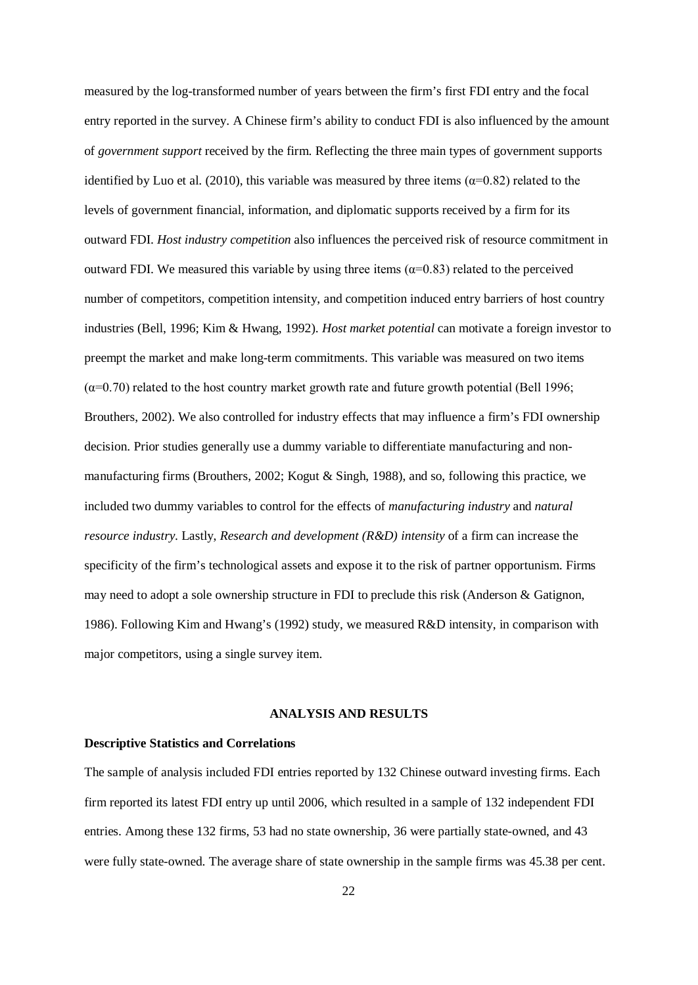measured by the log-transformed number of years between the firm's first FDI entry and the focal entry reported in the survey. A Chinese firm's ability to conduct FDI is also influenced by the amount of *government support* received by the firm. Reflecting the three main types of government supports identified by Luo et al. (2010), this variable was measured by three items  $(\alpha=0.82)$  related to the levels of government financial, information, and diplomatic supports received by a firm for its outward FDI. *Host industry competition* also influences the perceived risk of resource commitment in outward FDI. We measured this variable by using three items (α=0.83) related to the perceived number of competitors, competition intensity, and competition induced entry barriers of host country industries (Bell, 1996; Kim & Hwang, 1992). *Host market potential* can motivate a foreign investor to preempt the market and make long-term commitments. This variable was measured on two items  $(\alpha=0.70)$  related to the host country market growth rate and future growth potential (Bell 1996; Brouthers, 2002). We also controlled for industry effects that may influence a firm's FDI ownership decision. Prior studies generally use a dummy variable to differentiate manufacturing and nonmanufacturing firms (Brouthers, 2002; Kogut & Singh, 1988), and so, following this practice, we included two dummy variables to control for the effects of *manufacturing industry* and *natural resource industry*. Lastly, *Research and development (R&D) intensity* of a firm can increase the specificity of the firm's technological assets and expose it to the risk of partner opportunism. Firms may need to adopt a sole ownership structure in FDI to preclude this risk (Anderson & Gatignon, 1986). Following Kim and Hwang's (1992) study, we measured R&D intensity, in comparison with major competitors, using a single survey item.

#### **ANALYSIS AND RESULTS**

# **Descriptive Statistics and Correlations**

The sample of analysis included FDI entries reported by 132 Chinese outward investing firms. Each firm reported its latest FDI entry up until 2006, which resulted in a sample of 132 independent FDI entries. Among these 132 firms, 53 had no state ownership, 36 were partially state-owned, and 43 were fully state-owned. The average share of state ownership in the sample firms was 45.38 per cent.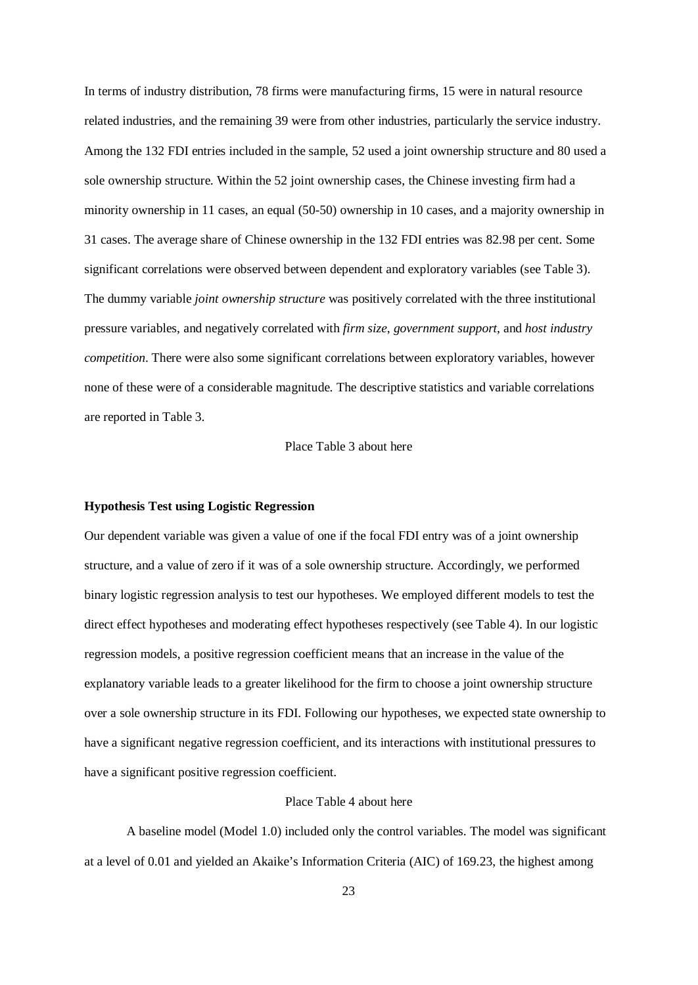In terms of industry distribution, 78 firms were manufacturing firms, 15 were in natural resource related industries, and the remaining 39 were from other industries, particularly the service industry. Among the 132 FDI entries included in the sample, 52 used a joint ownership structure and 80 used a sole ownership structure. Within the 52 joint ownership cases, the Chinese investing firm had a minority ownership in 11 cases, an equal (50-50) ownership in 10 cases, and a majority ownership in 31 cases. The average share of Chinese ownership in the 132 FDI entries was 82.98 per cent. Some significant correlations were observed between dependent and exploratory variables (see Table 3). The dummy variable *joint ownership structure* was positively correlated with the three institutional pressure variables, and negatively correlated with *firm size*, *government support*, and *host industry competition*. There were also some significant correlations between exploratory variables, however none of these were of a considerable magnitude. The descriptive statistics and variable correlations are reported in Table 3.

#### Place Table 3 about here

# **Hypothesis Test using Logistic Regression**

Our dependent variable was given a value of one if the focal FDI entry was of a joint ownership structure, and a value of zero if it was of a sole ownership structure. Accordingly, we performed binary logistic regression analysis to test our hypotheses. We employed different models to test the direct effect hypotheses and moderating effect hypotheses respectively (see Table 4). In our logistic regression models, a positive regression coefficient means that an increase in the value of the explanatory variable leads to a greater likelihood for the firm to choose a joint ownership structure over a sole ownership structure in its FDI. Following our hypotheses, we expected state ownership to have a significant negative regression coefficient, and its interactions with institutional pressures to have a significant positive regression coefficient.

# Place Table 4 about here

A baseline model (Model 1.0) included only the control variables. The model was significant at a level of 0.01 and yielded an Akaike's Information Criteria (AIC) of 169.23, the highest among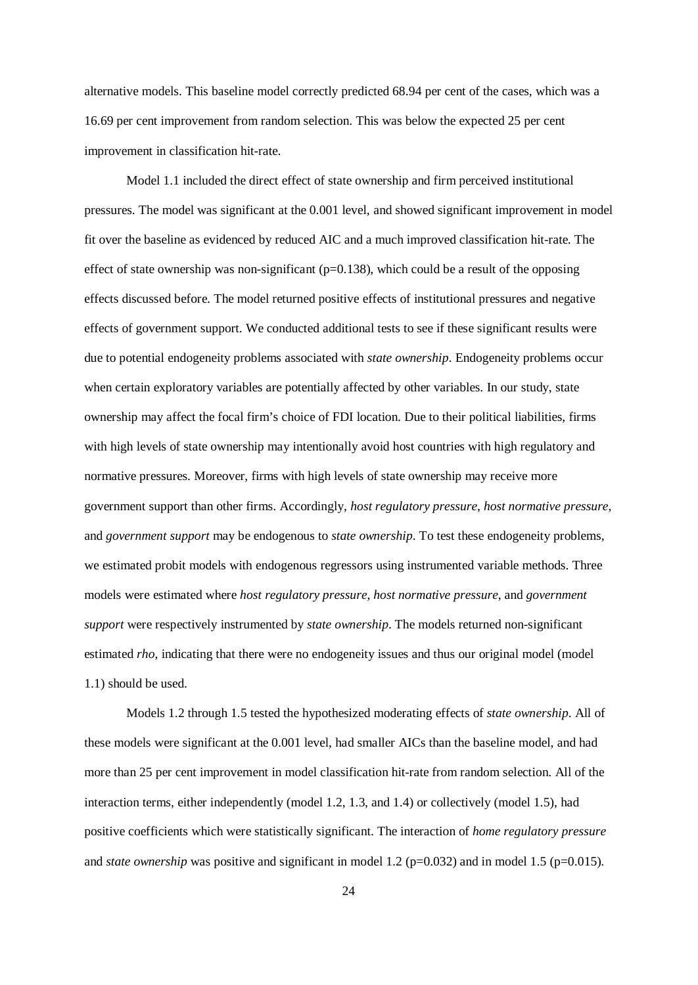alternative models. This baseline model correctly predicted 68.94 per cent of the cases, which was a 16.69 per cent improvement from random selection. This was below the expected 25 per cent improvement in classification hit-rate.

Model 1.1 included the direct effect of state ownership and firm perceived institutional pressures. The model was significant at the 0.001 level, and showed significant improvement in model fit over the baseline as evidenced by reduced AIC and a much improved classification hit-rate. The effect of state ownership was non-significant ( $p=0.138$ ), which could be a result of the opposing effects discussed before. The model returned positive effects of institutional pressures and negative effects of government support. We conducted additional tests to see if these significant results were due to potential endogeneity problems associated with *state ownership*. Endogeneity problems occur when certain exploratory variables are potentially affected by other variables. In our study, state ownership may affect the focal firm's choice of FDI location. Due to their political liabilities, firms with high levels of state ownership may intentionally avoid host countries with high regulatory and normative pressures. Moreover, firms with high levels of state ownership may receive more government support than other firms. Accordingly, *host regulatory pressure*, *host normative pressure*, and *government support* may be endogenous to *state ownership*. To test these endogeneity problems, we estimated probit models with endogenous regressors using instrumented variable methods. Three models were estimated where *host regulatory pressure*, *host normative pressure*, and *government support* were respectively instrumented by *state ownership*. The models returned non-significant estimated *rho*, indicating that there were no endogeneity issues and thus our original model (model 1.1) should be used.

Models 1.2 through 1.5 tested the hypothesized moderating effects of *state ownership*. All of these models were significant at the 0.001 level, had smaller AICs than the baseline model, and had more than 25 per cent improvement in model classification hit-rate from random selection. All of the interaction terms, either independently (model 1.2, 1.3, and 1.4) or collectively (model 1.5), had positive coefficients which were statistically significant. The interaction of *home regulatory pressure* and *state ownership* was positive and significant in model 1.2 (p=0.032) and in model 1.5 (p=0.015).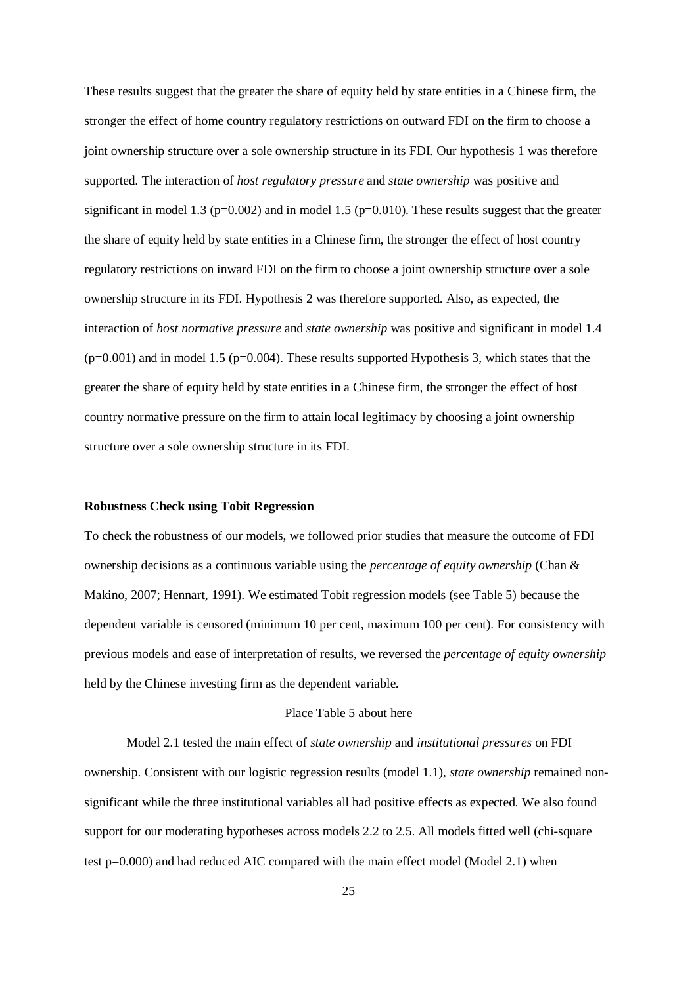These results suggest that the greater the share of equity held by state entities in a Chinese firm, the stronger the effect of home country regulatory restrictions on outward FDI on the firm to choose a joint ownership structure over a sole ownership structure in its FDI. Our hypothesis 1 was therefore supported. The interaction of *host regulatory pressure* and *state ownership* was positive and significant in model 1.3 ( $p=0.002$ ) and in model 1.5 ( $p=0.010$ ). These results suggest that the greater the share of equity held by state entities in a Chinese firm, the stronger the effect of host country regulatory restrictions on inward FDI on the firm to choose a joint ownership structure over a sole ownership structure in its FDI. Hypothesis 2 was therefore supported. Also, as expected, the interaction of *host normative pressure* and *state ownership* was positive and significant in model 1.4  $(p=0.001)$  and in model 1.5 (p=0.004). These results supported Hypothesis 3, which states that the greater the share of equity held by state entities in a Chinese firm, the stronger the effect of host country normative pressure on the firm to attain local legitimacy by choosing a joint ownership structure over a sole ownership structure in its FDI.

# **Robustness Check using Tobit Regression**

To check the robustness of our models, we followed prior studies that measure the outcome of FDI ownership decisions as a continuous variable using the *percentage of equity ownership* (Chan & Makino, 2007; Hennart, 1991). We estimated Tobit regression models (see Table 5) because the dependent variable is censored (minimum 10 per cent, maximum 100 per cent). For consistency with previous models and ease of interpretation of results, we reversed the *percentage of equity ownership* held by the Chinese investing firm as the dependent variable.

# Place Table 5 about here

Model 2.1 tested the main effect of *state ownership* and *institutional pressures* on FDI ownership. Consistent with our logistic regression results (model 1.1), *state ownership* remained nonsignificant while the three institutional variables all had positive effects as expected. We also found support for our moderating hypotheses across models 2.2 to 2.5. All models fitted well (chi-square test p=0.000) and had reduced AIC compared with the main effect model (Model 2.1) when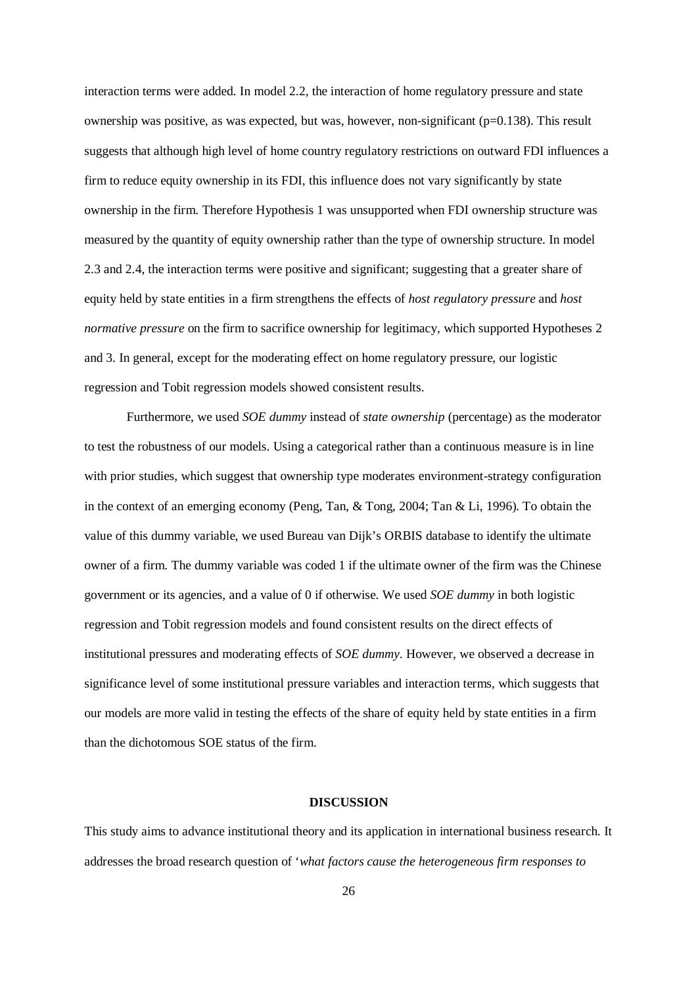interaction terms were added. In model 2.2, the interaction of home regulatory pressure and state ownership was positive, as was expected, but was, however, non-significant (p=0.138). This result suggests that although high level of home country regulatory restrictions on outward FDI influences a firm to reduce equity ownership in its FDI, this influence does not vary significantly by state ownership in the firm. Therefore Hypothesis 1 was unsupported when FDI ownership structure was measured by the quantity of equity ownership rather than the type of ownership structure. In model 2.3 and 2.4, the interaction terms were positive and significant; suggesting that a greater share of equity held by state entities in a firm strengthens the effects of *host regulatory pressure* and *host normative pressure* on the firm to sacrifice ownership for legitimacy, which supported Hypotheses 2 and 3. In general, except for the moderating effect on home regulatory pressure, our logistic regression and Tobit regression models showed consistent results.

Furthermore, we used *SOE dummy* instead of *state ownership* (percentage) as the moderator to test the robustness of our models. Using a categorical rather than a continuous measure is in line with prior studies, which suggest that ownership type moderates environment-strategy configuration in the context of an emerging economy (Peng, Tan, & Tong, 2004; Tan & Li, 1996). To obtain the value of this dummy variable, we used Bureau van Dijk's ORBIS database to identify the ultimate owner of a firm. The dummy variable was coded 1 if the ultimate owner of the firm was the Chinese government or its agencies, and a value of 0 if otherwise. We used *SOE dummy* in both logistic regression and Tobit regression models and found consistent results on the direct effects of institutional pressures and moderating effects of *SOE dummy*. However, we observed a decrease in significance level of some institutional pressure variables and interaction terms, which suggests that our models are more valid in testing the effects of the share of equity held by state entities in a firm than the dichotomous SOE status of the firm.

#### **DISCUSSION**

This study aims to advance institutional theory and its application in international business research. It addresses the broad research question of '*what factors cause the heterogeneous firm responses to*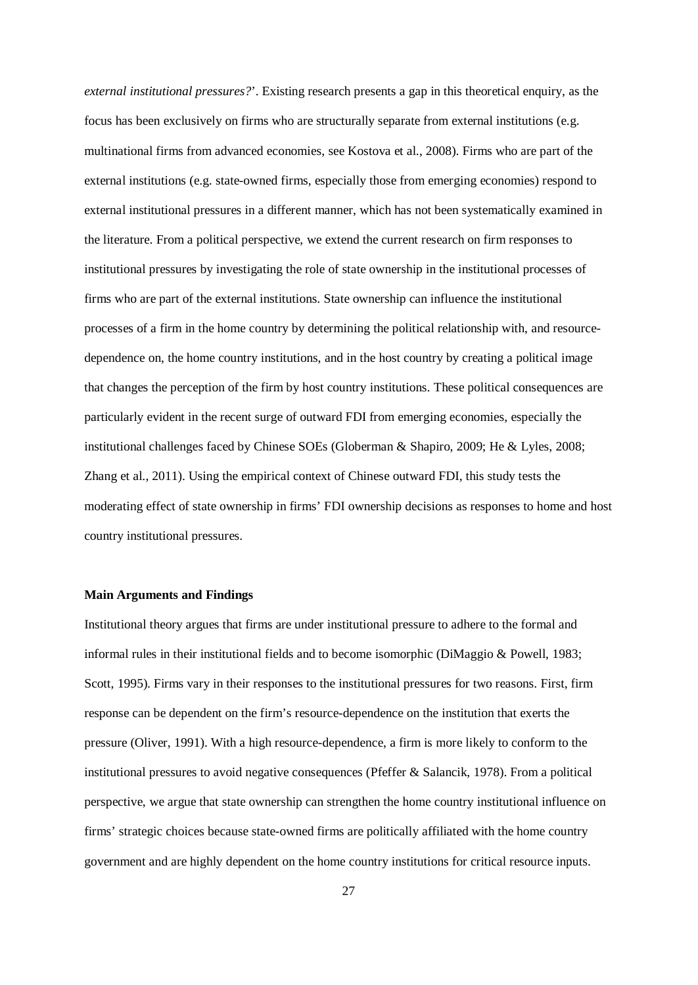*external institutional pressures?*'. Existing research presents a gap in this theoretical enquiry, as the focus has been exclusively on firms who are structurally separate from external institutions (e.g. multinational firms from advanced economies, see Kostova et al., 2008). Firms who are part of the external institutions (e.g. state-owned firms, especially those from emerging economies) respond to external institutional pressures in a different manner, which has not been systematically examined in the literature. From a political perspective, we extend the current research on firm responses to institutional pressures by investigating the role of state ownership in the institutional processes of firms who are part of the external institutions. State ownership can influence the institutional processes of a firm in the home country by determining the political relationship with, and resourcedependence on, the home country institutions, and in the host country by creating a political image that changes the perception of the firm by host country institutions. These political consequences are particularly evident in the recent surge of outward FDI from emerging economies, especially the institutional challenges faced by Chinese SOEs (Globerman & Shapiro, 2009; He & Lyles, 2008; Zhang et al., 2011). Using the empirical context of Chinese outward FDI, this study tests the moderating effect of state ownership in firms' FDI ownership decisions as responses to home and host country institutional pressures.

# **Main Arguments and Findings**

Institutional theory argues that firms are under institutional pressure to adhere to the formal and informal rules in their institutional fields and to become isomorphic (DiMaggio & Powell, 1983; Scott, 1995). Firms vary in their responses to the institutional pressures for two reasons. First, firm response can be dependent on the firm's resource-dependence on the institution that exerts the pressure (Oliver, 1991). With a high resource-dependence, a firm is more likely to conform to the institutional pressures to avoid negative consequences (Pfeffer & Salancik, 1978). From a political perspective, we argue that state ownership can strengthen the home country institutional influence on firms' strategic choices because state-owned firms are politically affiliated with the home country government and are highly dependent on the home country institutions for critical resource inputs.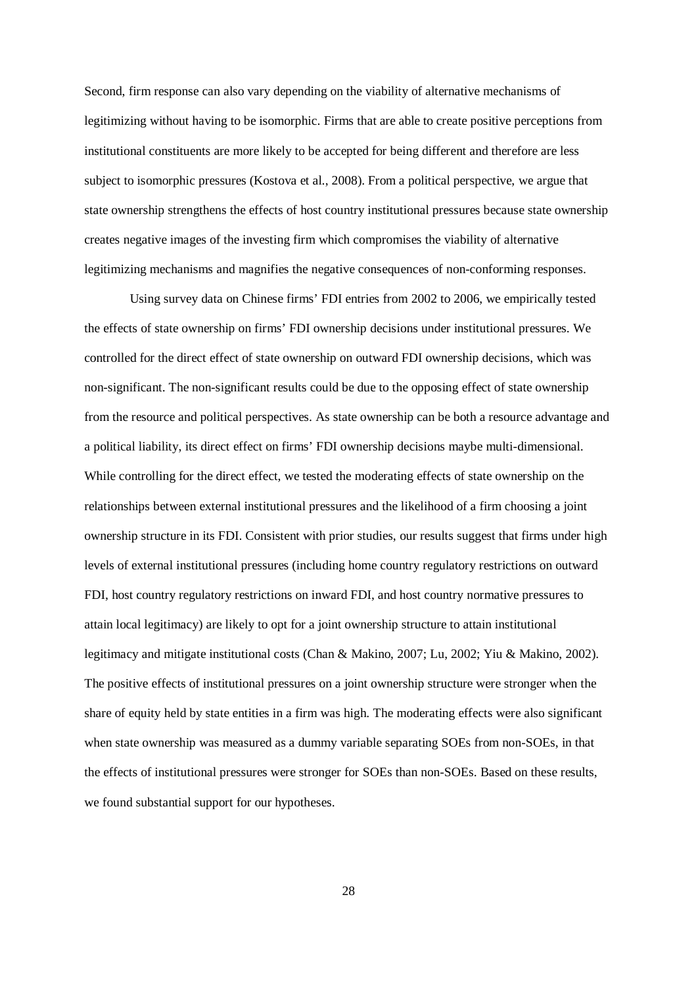Second, firm response can also vary depending on the viability of alternative mechanisms of legitimizing without having to be isomorphic. Firms that are able to create positive perceptions from institutional constituents are more likely to be accepted for being different and therefore are less subject to isomorphic pressures (Kostova et al., 2008). From a political perspective, we argue that state ownership strengthens the effects of host country institutional pressures because state ownership creates negative images of the investing firm which compromises the viability of alternative legitimizing mechanisms and magnifies the negative consequences of non-conforming responses.

Using survey data on Chinese firms' FDI entries from 2002 to 2006, we empirically tested the effects of state ownership on firms' FDI ownership decisions under institutional pressures. We controlled for the direct effect of state ownership on outward FDI ownership decisions, which was non-significant. The non-significant results could be due to the opposing effect of state ownership from the resource and political perspectives. As state ownership can be both a resource advantage and a political liability, its direct effect on firms' FDI ownership decisions maybe multi-dimensional. While controlling for the direct effect, we tested the moderating effects of state ownership on the relationships between external institutional pressures and the likelihood of a firm choosing a joint ownership structure in its FDI. Consistent with prior studies, our results suggest that firms under high levels of external institutional pressures (including home country regulatory restrictions on outward FDI, host country regulatory restrictions on inward FDI, and host country normative pressures to attain local legitimacy) are likely to opt for a joint ownership structure to attain institutional legitimacy and mitigate institutional costs (Chan & Makino, 2007; Lu, 2002; Yiu & Makino, 2002). The positive effects of institutional pressures on a joint ownership structure were stronger when the share of equity held by state entities in a firm was high. The moderating effects were also significant when state ownership was measured as a dummy variable separating SOEs from non-SOEs, in that the effects of institutional pressures were stronger for SOEs than non-SOEs. Based on these results, we found substantial support for our hypotheses.

28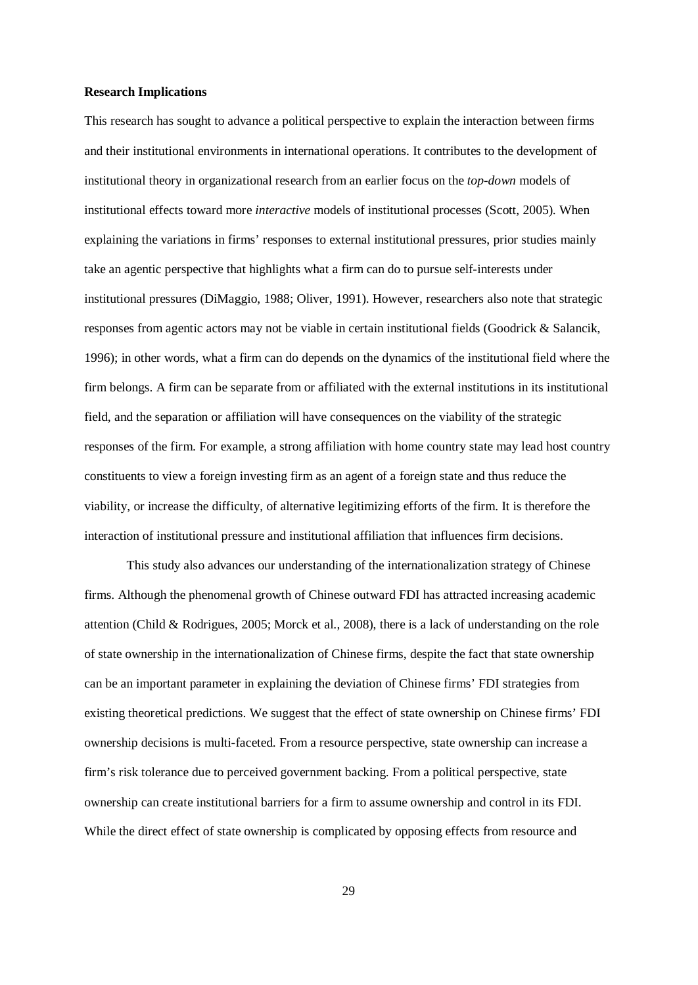#### **Research Implications**

This research has sought to advance a political perspective to explain the interaction between firms and their institutional environments in international operations. It contributes to the development of institutional theory in organizational research from an earlier focus on the *top-down* models of institutional effects toward more *interactive* models of institutional processes (Scott, 2005). When explaining the variations in firms' responses to external institutional pressures, prior studies mainly take an agentic perspective that highlights what a firm can do to pursue self-interests under institutional pressures (DiMaggio, 1988; Oliver, 1991). However, researchers also note that strategic responses from agentic actors may not be viable in certain institutional fields (Goodrick & Salancik, 1996); in other words, what a firm can do depends on the dynamics of the institutional field where the firm belongs. A firm can be separate from or affiliated with the external institutions in its institutional field, and the separation or affiliation will have consequences on the viability of the strategic responses of the firm. For example, a strong affiliation with home country state may lead host country constituents to view a foreign investing firm as an agent of a foreign state and thus reduce the viability, or increase the difficulty, of alternative legitimizing efforts of the firm. It is therefore the interaction of institutional pressure and institutional affiliation that influences firm decisions.

This study also advances our understanding of the internationalization strategy of Chinese firms. Although the phenomenal growth of Chinese outward FDI has attracted increasing academic attention (Child & Rodrigues, 2005; Morck et al., 2008), there is a lack of understanding on the role of state ownership in the internationalization of Chinese firms, despite the fact that state ownership can be an important parameter in explaining the deviation of Chinese firms' FDI strategies from existing theoretical predictions. We suggest that the effect of state ownership on Chinese firms' FDI ownership decisions is multi-faceted. From a resource perspective, state ownership can increase a firm's risk tolerance due to perceived government backing. From a political perspective, state ownership can create institutional barriers for a firm to assume ownership and control in its FDI. While the direct effect of state ownership is complicated by opposing effects from resource and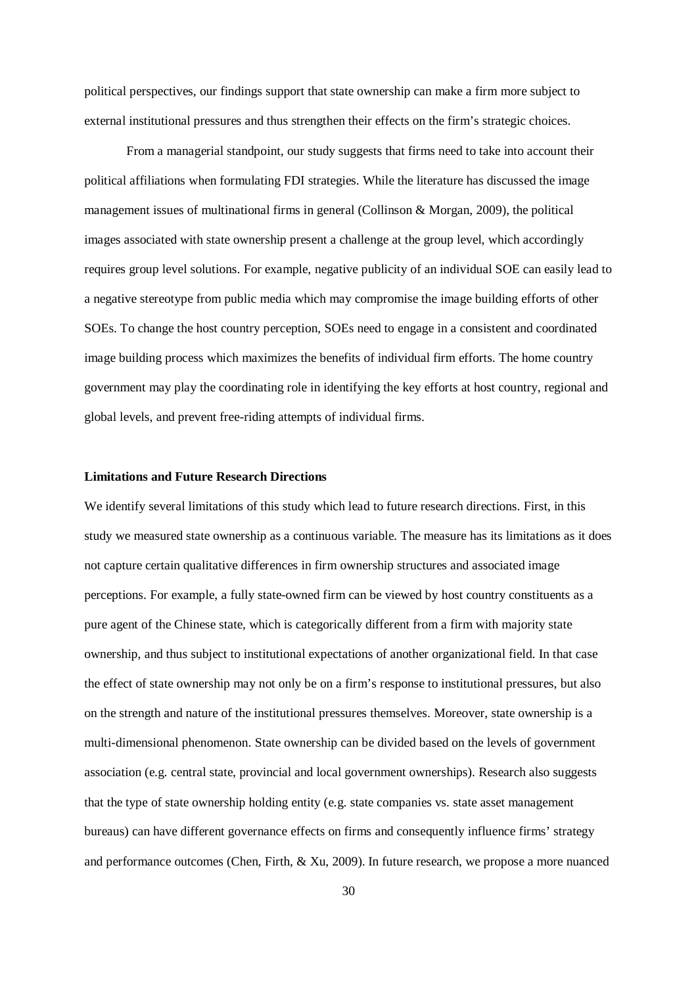political perspectives, our findings support that state ownership can make a firm more subject to external institutional pressures and thus strengthen their effects on the firm's strategic choices.

From a managerial standpoint, our study suggests that firms need to take into account their political affiliations when formulating FDI strategies. While the literature has discussed the image management issues of multinational firms in general (Collinson & Morgan, 2009), the political images associated with state ownership present a challenge at the group level, which accordingly requires group level solutions. For example, negative publicity of an individual SOE can easily lead to a negative stereotype from public media which may compromise the image building efforts of other SOEs. To change the host country perception, SOEs need to engage in a consistent and coordinated image building process which maximizes the benefits of individual firm efforts. The home country government may play the coordinating role in identifying the key efforts at host country, regional and global levels, and prevent free-riding attempts of individual firms.

#### **Limitations and Future Research Directions**

We identify several limitations of this study which lead to future research directions. First, in this study we measured state ownership as a continuous variable. The measure has its limitations as it does not capture certain qualitative differences in firm ownership structures and associated image perceptions. For example, a fully state-owned firm can be viewed by host country constituents as a pure agent of the Chinese state, which is categorically different from a firm with majority state ownership, and thus subject to institutional expectations of another organizational field. In that case the effect of state ownership may not only be on a firm's response to institutional pressures, but also on the strength and nature of the institutional pressures themselves. Moreover, state ownership is a multi-dimensional phenomenon. State ownership can be divided based on the levels of government association (e.g. central state, provincial and local government ownerships). Research also suggests that the type of state ownership holding entity (e.g. state companies vs. state asset management bureaus) can have different governance effects on firms and consequently influence firms' strategy and performance outcomes (Chen, Firth, & Xu, 2009). In future research, we propose a more nuanced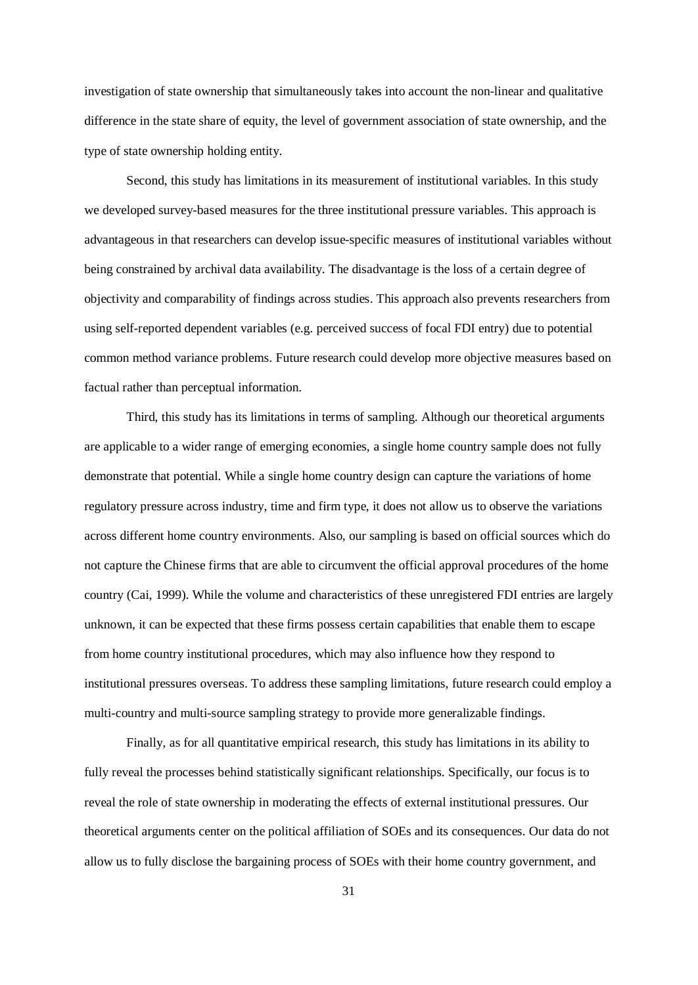investigation of state ownership that simultaneously takes into account the non-linear and qualitative difference in the state share of equity, the level of government association of state ownership, and the type of state ownership holding entity.

Second, this study has limitations in its measurement of institutional variables. In this study we developed survey-based measures for the three institutional pressure variables. This approach is advantageous in that researchers can develop issue-specific measures of institutional variables without being constrained by archival data availability. The disadvantage is the loss of a certain degree of objectivity and comparability of findings across studies. This approach also prevents researchers from using self-reported dependent variables (e.g. perceived success of focal FDI entry) due to potential common method variance problems. Future research could develop more objective measures based on factual rather than perceptual information.

Third, this study has its limitations in terms of sampling. Although our theoretical arguments are applicable to a wider range of emerging economies, a single home country sample does not fully demonstrate that potential. While a single home country design can capture the variations of home regulatory pressure across industry, time and firm type, it does not allow us to observe the variations across different home country environments. Also, our sampling is based on official sources which do not capture the Chinese firms that are able to circumvent the official approval procedures of the home country (Cai, 1999). While the volume and characteristics of these unregistered FDI entries are largely unknown, it can be expected that these firms possess certain capabilities that enable them to escape from home country institutional procedures, which may also influence how they respond to institutional pressures overseas. To address these sampling limitations, future research could employ a multi-country and multi-source sampling strategy to provide more generalizable findings.

Finally, as for all quantitative empirical research, this study has limitations in its ability to fully reveal the processes behind statistically significant relationships. Specifically, our focus is to reveal the role of state ownership in moderating the effects of external institutional pressures. Our theoretical arguments center on the political affiliation of SOEs and its consequences. Our data do not allow us to fully disclose the bargaining process of SOEs with their home country government, and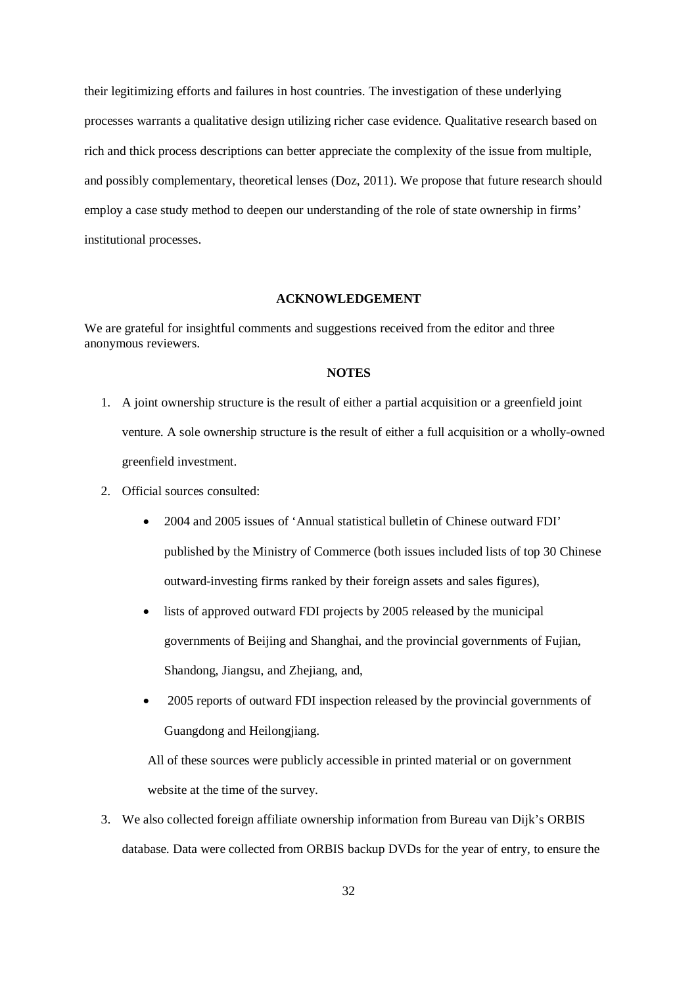their legitimizing efforts and failures in host countries. The investigation of these underlying processes warrants a qualitative design utilizing richer case evidence. Qualitative research based on rich and thick process descriptions can better appreciate the complexity of the issue from multiple, and possibly complementary, theoretical lenses (Doz, 2011). We propose that future research should employ a case study method to deepen our understanding of the role of state ownership in firms' institutional processes.

#### **ACKNOWLEDGEMENT**

We are grateful for insightful comments and suggestions received from the editor and three anonymous reviewers.

# **NOTES**

- 1. A joint ownership structure is the result of either a partial acquisition or a greenfield joint venture. A sole ownership structure is the result of either a full acquisition or a wholly-owned greenfield investment.
- 2. Official sources consulted:
	- 2004 and 2005 issues of 'Annual statistical bulletin of Chinese outward FDI' published by the Ministry of Commerce (both issues included lists of top 30 Chinese outward-investing firms ranked by their foreign assets and sales figures),
	- lists of approved outward FDI projects by 2005 released by the municipal governments of Beijing and Shanghai, and the provincial governments of Fujian, Shandong, Jiangsu, and Zhejiang, and,
	- 2005 reports of outward FDI inspection released by the provincial governments of Guangdong and Heilongjiang.

All of these sources were publicly accessible in printed material or on government website at the time of the survey.

3. We also collected foreign affiliate ownership information from Bureau van Dijk's ORBIS database. Data were collected from ORBIS backup DVDs for the year of entry, to ensure the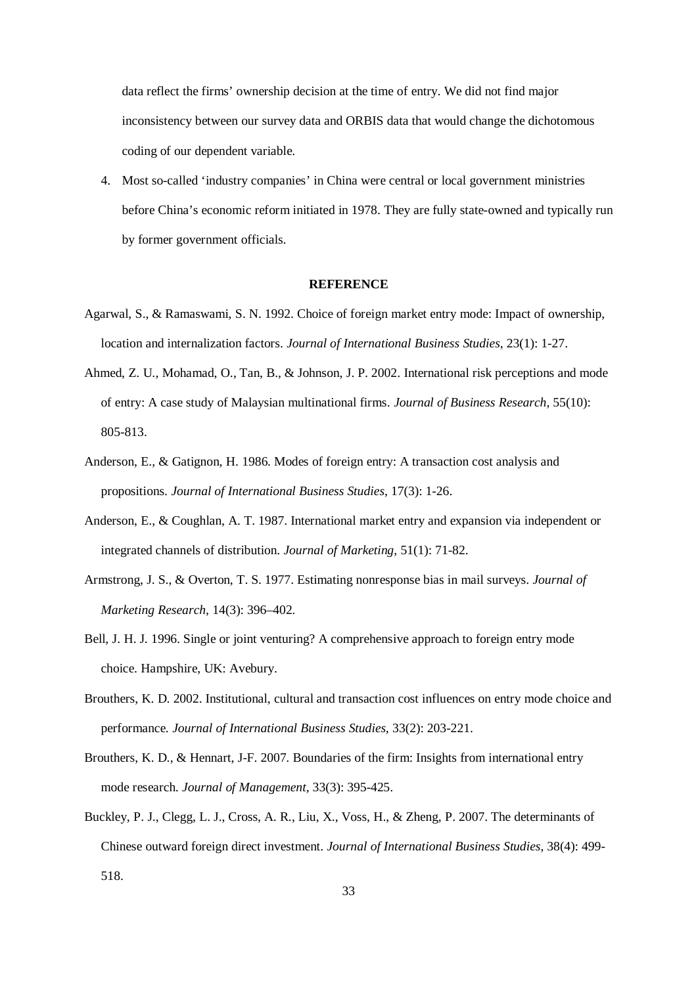data reflect the firms' ownership decision at the time of entry. We did not find major inconsistency between our survey data and ORBIS data that would change the dichotomous coding of our dependent variable.

4. Most so-called 'industry companies' in China were central or local government ministries before China's economic reform initiated in 1978. They are fully state-owned and typically run by former government officials.

#### **REFERENCE**

- Agarwal, S., & Ramaswami, S. N. 1992. Choice of foreign market entry mode: Impact of ownership, location and internalization factors. *Journal of International Business Studies*, 23(1): 1-27.
- Ahmed, Z. U., Mohamad, O., Tan, B., & Johnson, J. P. 2002. International risk perceptions and mode of entry: A case study of Malaysian multinational firms. *Journal of Business Research*, 55(10): 805-813.
- Anderson, E., & Gatignon, H. 1986. Modes of foreign entry: A transaction cost analysis and propositions. *Journal of International Business Studies*, 17(3): 1-26.
- Anderson, E., & Coughlan, A. T. 1987. International market entry and expansion via independent or integrated channels of distribution. *Journal of Marketing*, 51(1): 71-82.
- Armstrong, J. S., & Overton, T. S. 1977. Estimating nonresponse bias in mail surveys. *Journal of Marketing Research*, 14(3): 396–402.
- Bell, J. H. J. 1996. Single or joint venturing? A comprehensive approach to foreign entry mode choice. Hampshire, UK: Avebury.
- Brouthers, K. D. 2002. Institutional, cultural and transaction cost influences on entry mode choice and performance. *Journal of International Business Studies*, 33(2): 203-221.
- Brouthers, K. D., & Hennart, J-F. 2007. Boundaries of the firm: Insights from international entry mode research. *Journal of Management*, 33(3): 395-425.
- Buckley, P. J., Clegg, L. J., Cross, A. R., Liu, X., Voss, H., & Zheng, P. 2007. The determinants of Chinese outward foreign direct investment. *Journal of International Business Studies*, 38(4): 499- 518.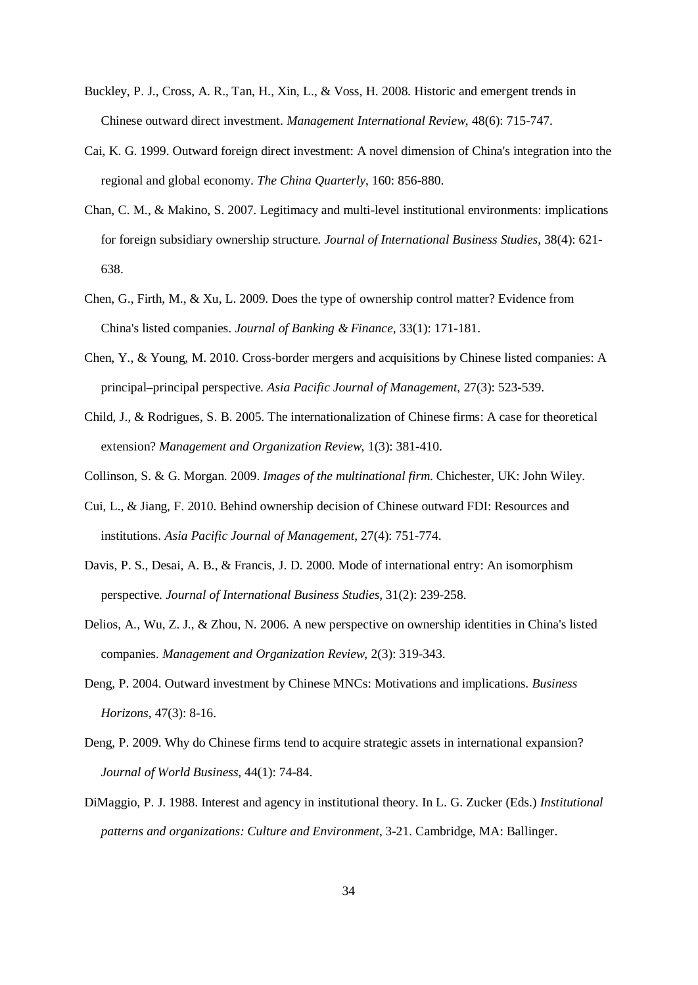- Buckley, P. J., Cross, A. R., Tan, H., Xin, L., & Voss, H. 2008. Historic and emergent trends in Chinese outward direct investment. *Management International Review*, 48(6): 715-747.
- Cai, K. G. 1999. Outward foreign direct investment: A novel dimension of China's integration into the regional and global economy. *The China Quarterly*, 160: 856-880.
- Chan, C. M., & Makino, S. 2007. Legitimacy and multi-level institutional environments: implications for foreign subsidiary ownership structure. *Journal of International Business Studies*, 38(4): 621- 638.
- Chen, G., Firth, M., & Xu, L. 2009. Does the type of ownership control matter? Evidence from China's listed companies. *Journal of Banking & Finance*, 33(1): 171-181.
- Chen, Y., & Young, M. 2010. Cross-border mergers and acquisitions by Chinese listed companies: A principal–principal perspective. *Asia Pacific Journal of Management*, 27(3): 523-539.
- Child, J., & Rodrigues, S. B. 2005. The internationalization of Chinese firms: A case for theoretical extension? *Management and Organization Review*, 1(3): 381-410.
- Collinson, S. & G. Morgan. 2009. *Images of the multinational firm*. Chichester, UK: John Wiley.
- Cui, L., & Jiang, F. 2010. Behind ownership decision of Chinese outward FDI: Resources and institutions. *Asia Pacific Journal of Management*, 27(4): 751-774.
- Davis, P. S., Desai, A. B., & Francis, J. D. 2000. Mode of international entry: An isomorphism perspective. *Journal of International Business Studies*, 31(2): 239-258.
- Delios, A., Wu, Z. J., & Zhou, N. 2006. A new perspective on ownership identities in China's listed companies. *Management and Organization Review*, 2(3): 319-343.
- Deng, P. 2004. Outward investment by Chinese MNCs: Motivations and implications. *Business Horizons*, 47(3): 8-16.
- Deng, P. 2009. Why do Chinese firms tend to acquire strategic assets in international expansion? *Journal of World Business*, 44(1): 74-84.
- DiMaggio, P. J. 1988. Interest and agency in institutional theory. In L. G. Zucker (Eds.) *Institutional patterns and organizations: Culture and Environment*, 3-21. Cambridge, MA: Ballinger.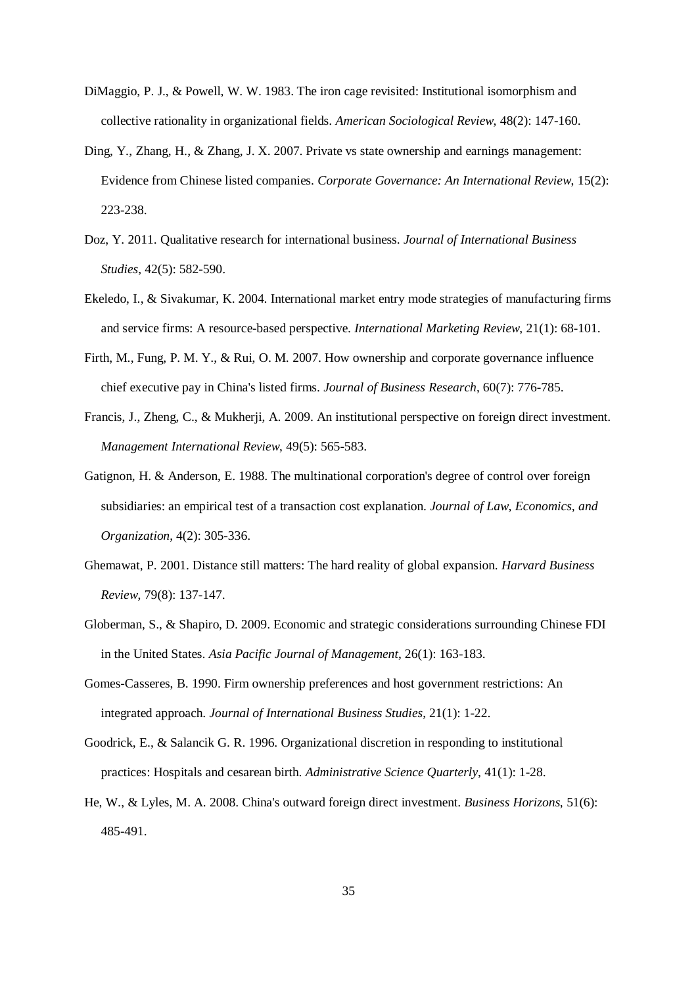- DiMaggio, P. J., & Powell, W. W. 1983. The iron cage revisited: Institutional isomorphism and collective rationality in organizational fields. *American Sociological Review*, 48(2): 147-160.
- Ding, Y., Zhang, H., & Zhang, J. X. 2007. Private vs state ownership and earnings management: Evidence from Chinese listed companies. *Corporate Governance: An International Review*, 15(2): 223-238.
- Doz, Y. 2011. Qualitative research for international business. *Journal of International Business Studies*, 42(5): 582-590.
- Ekeledo, I., & Sivakumar, K. 2004. International market entry mode strategies of manufacturing firms and service firms: A resource-based perspective. *International Marketing Review*, 21(1): 68-101.
- Firth, M., Fung, P. M. Y., & Rui, O. M. 2007. How ownership and corporate governance influence chief executive pay in China's listed firms. *Journal of Business Research*, 60(7): 776-785.
- Francis, J., Zheng, C., & Mukherji, A. 2009. An institutional perspective on foreign direct investment. *Management International Review*, 49(5): 565-583.
- Gatignon, H. & Anderson, E. 1988. The multinational corporation's degree of control over foreign subsidiaries: an empirical test of a transaction cost explanation. *Journal of Law, Economics, and Organization*, 4(2): 305-336.
- Ghemawat, P. 2001. Distance still matters: The hard reality of global expansion. *Harvard Business Review*, 79(8): 137-147.
- Globerman, S., & Shapiro, D. 2009. Economic and strategic considerations surrounding Chinese FDI in the United States. *Asia Pacific Journal of Management*, 26(1): 163-183.
- Gomes-Casseres, B. 1990. Firm ownership preferences and host government restrictions: An integrated approach. *Journal of International Business Studies*, 21(1): 1-22.
- Goodrick, E., & Salancik G. R. 1996. Organizational discretion in responding to institutional practices: Hospitals and cesarean birth. *Administrative Science Quarterly*, 41(1): 1-28.
- He, W., & Lyles, M. A. 2008. China's outward foreign direct investment. *Business Horizons*, 51(6): 485-491.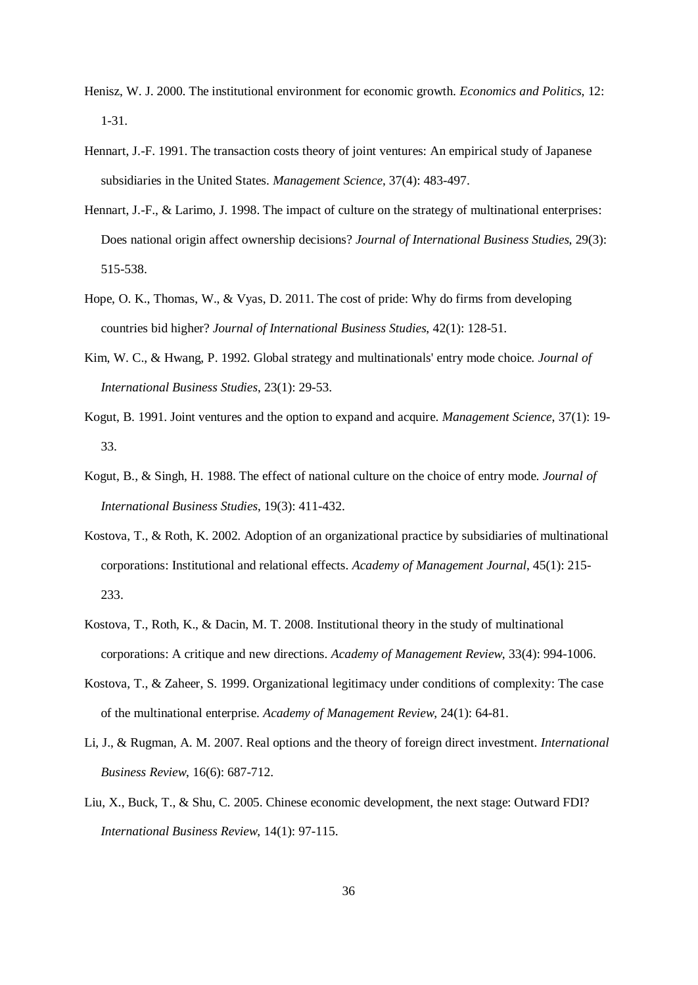- Henisz, W. J. 2000. The institutional environment for economic growth. *Economics and Politics*, 12: 1-31.
- Hennart, J.-F. 1991. The transaction costs theory of joint ventures: An empirical study of Japanese subsidiaries in the United States. *Management Science*, 37(4): 483-497.
- Hennart, J.-F., & Larimo, J. 1998. The impact of culture on the strategy of multinational enterprises: Does national origin affect ownership decisions? *Journal of International Business Studies*, 29(3): 515-538.
- Hope, O. K., Thomas, W., & Vyas, D. 2011. The cost of pride: Why do firms from developing countries bid higher? *Journal of International Business Studies*, 42(1): 128-51.
- Kim, W. C., & Hwang, P. 1992. Global strategy and multinationals' entry mode choice. *Journal of International Business Studies*, 23(1): 29-53.
- Kogut, B. 1991. Joint ventures and the option to expand and acquire. *Management Science*, 37(1): 19- 33.
- Kogut, B., & Singh, H. 1988. The effect of national culture on the choice of entry mode. *Journal of International Business Studies*, 19(3): 411-432.
- Kostova, T., & Roth, K. 2002. Adoption of an organizational practice by subsidiaries of multinational corporations: Institutional and relational effects. *Academy of Management Journal*, 45(1): 215- 233.
- Kostova, T., Roth, K., & Dacin, M. T. 2008. Institutional theory in the study of multinational corporations: A critique and new directions. *Academy of Management Review*, 33(4): 994-1006.
- Kostova, T., & Zaheer, S. 1999. Organizational legitimacy under conditions of complexity: The case of the multinational enterprise. *Academy of Management Review*, 24(1): 64-81.
- Li, J., & Rugman, A. M. 2007. Real options and the theory of foreign direct investment. *International Business Review*, 16(6): 687-712.
- Liu, X., Buck, T., & Shu, C. 2005. Chinese economic development, the next stage: Outward FDI? *International Business Review*, 14(1): 97-115.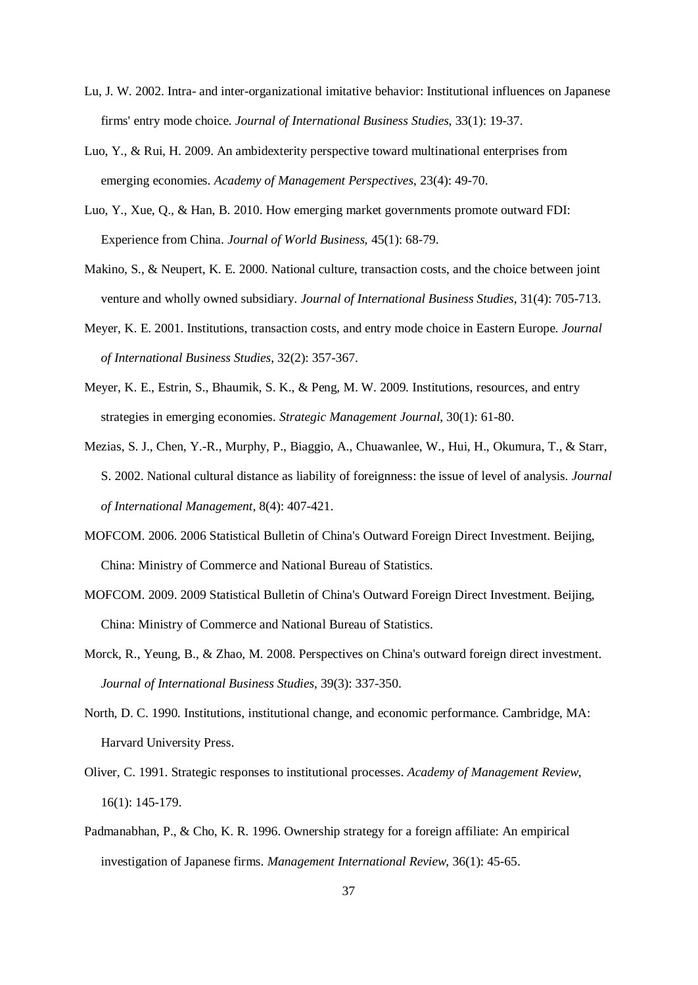- Lu, J. W. 2002. Intra- and inter-organizational imitative behavior: Institutional influences on Japanese firms' entry mode choice. *Journal of International Business Studies*, 33(1): 19-37.
- Luo, Y., & Rui, H. 2009. An ambidexterity perspective toward multinational enterprises from emerging economies. *Academy of Management Perspectives*, 23(4): 49-70.
- Luo, Y., Xue, Q., & Han, B. 2010. How emerging market governments promote outward FDI: Experience from China. *Journal of World Business*, 45(1): 68-79.
- Makino, S., & Neupert, K. E. 2000. National culture, transaction costs, and the choice between joint venture and wholly owned subsidiary. *Journal of International Business Studies*, 31(4): 705-713.
- Meyer, K. E. 2001. Institutions, transaction costs, and entry mode choice in Eastern Europe. *Journal of International Business Studies*, 32(2): 357-367.
- Meyer, K. E., Estrin, S., Bhaumik, S. K., & Peng, M. W. 2009. Institutions, resources, and entry strategies in emerging economies. *Strategic Management Journal*, 30(1): 61-80.
- Mezias, S. J., Chen, Y.-R., Murphy, P., Biaggio, A., Chuawanlee, W., Hui, H., Okumura, T., & Starr, S. 2002. National cultural distance as liability of foreignness: the issue of level of analysis. *Journal of International Management*, 8(4): 407-421.
- MOFCOM. 2006. 2006 Statistical Bulletin of China's Outward Foreign Direct Investment. Beijing, China: Ministry of Commerce and National Bureau of Statistics.
- MOFCOM. 2009. 2009 Statistical Bulletin of China's Outward Foreign Direct Investment. Beijing, China: Ministry of Commerce and National Bureau of Statistics.
- Morck, R., Yeung, B., & Zhao, M. 2008. Perspectives on China's outward foreign direct investment. *Journal of International Business Studies*, 39(3): 337-350.
- North, D. C. 1990. Institutions, institutional change, and economic performance. Cambridge, MA: Harvard University Press.
- Oliver, C. 1991. Strategic responses to institutional processes. *Academy of Management Review*, 16(1): 145-179.
- Padmanabhan, P., & Cho, K. R. 1996. Ownership strategy for a foreign affiliate: An empirical investigation of Japanese firms. *Management International Review*, 36(1): 45-65.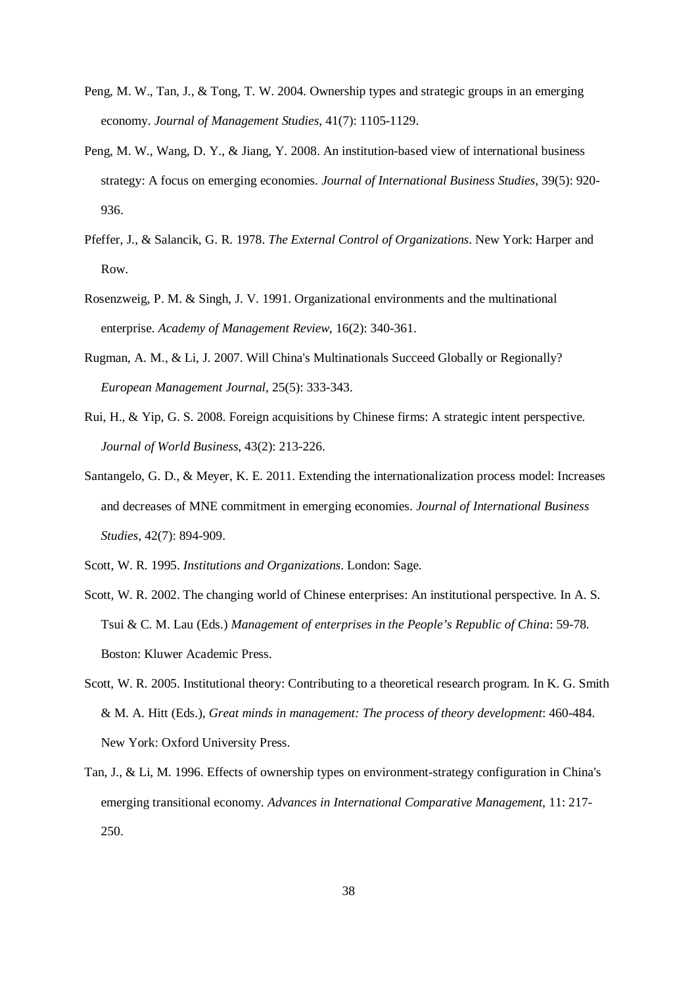- Peng, M. W., Tan, J., & Tong, T. W. 2004. Ownership types and strategic groups in an emerging economy. *Journal of Management Studies*, 41(7): 1105-1129.
- Peng, M. W., Wang, D. Y., & Jiang, Y. 2008. An institution-based view of international business strategy: A focus on emerging economies. *Journal of International Business Studies*, 39(5): 920- 936.
- Pfeffer, J., & Salancik, G. R. 1978. *The External Control of Organizations*. New York: Harper and Row.
- Rosenzweig, P. M. & Singh, J. V. 1991. Organizational environments and the multinational enterprise. *Academy of Management Review*, 16(2): 340-361.
- Rugman, A. M., & Li, J. 2007. Will China's Multinationals Succeed Globally or Regionally? *European Management Journal*, 25(5): 333-343.
- Rui, H., & Yip, G. S. 2008. Foreign acquisitions by Chinese firms: A strategic intent perspective. *Journal of World Business*, 43(2): 213-226.
- Santangelo, G. D., & Meyer, K. E. 2011. Extending the internationalization process model: Increases and decreases of MNE commitment in emerging economies. *Journal of International Business Studies*, 42(7): 894-909.

Scott, W. R. 1995. *Institutions and Organizations*. London: Sage.

- Scott, W. R. 2002. The changing world of Chinese enterprises: An institutional perspective. In A. S. Tsui & C. M. Lau (Eds.) *Management of enterprises in the People's Republic of China*: 59-78. Boston: Kluwer Academic Press.
- Scott, W. R. 2005. Institutional theory: Contributing to a theoretical research program. In K. G. Smith & M. A. Hitt (Eds.), *Great minds in management: The process of theory development*: 460-484. New York: Oxford University Press.
- Tan, J., & Li, M. 1996. Effects of ownership types on environment-strategy configuration in China's emerging transitional economy. *Advances in International Comparative Management*, 11: 217- 250.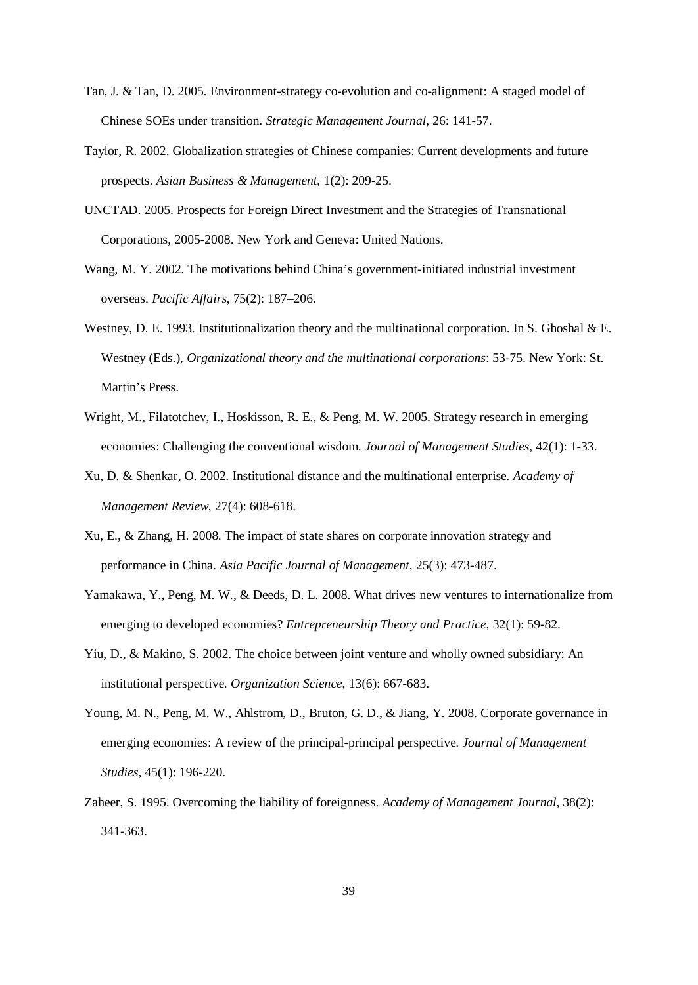- Tan, J. & Tan, D. 2005. Environment-strategy co-evolution and co-alignment: A staged model of Chinese SOEs under transition. *Strategic Management Journal*, 26: 141-57.
- Taylor, R. 2002. Globalization strategies of Chinese companies: Current developments and future prospects. *Asian Business & Management*, 1(2): 209-25.
- UNCTAD. 2005. Prospects for Foreign Direct Investment and the Strategies of Transnational Corporations, 2005-2008. New York and Geneva: United Nations.
- Wang, M. Y. 2002. The motivations behind China's government-initiated industrial investment overseas. *Pacific Affairs*, 75(2): 187–206.
- Westney, D. E. 1993. Institutionalization theory and the multinational corporation. In S. Ghoshal & E. Westney (Eds.), *Organizational theory and the multinational corporations*: 53-75. New York: St. Martin's Press.
- Wright, M., Filatotchev, I., Hoskisson, R. E., & Peng, M. W. 2005. Strategy research in emerging economies: Challenging the conventional wisdom. *Journal of Management Studies*, 42(1): 1-33.
- Xu, D. & Shenkar, O. 2002. Institutional distance and the multinational enterprise. *Academy of Management Review*, 27(4): 608-618.
- Xu, E., & Zhang, H. 2008. The impact of state shares on corporate innovation strategy and performance in China. *Asia Pacific Journal of Management*, 25(3): 473-487.
- Yamakawa, Y., Peng, M. W., & Deeds, D. L. 2008. What drives new ventures to internationalize from emerging to developed economies? *Entrepreneurship Theory and Practice*, 32(1): 59-82.
- Yiu, D., & Makino, S. 2002. The choice between joint venture and wholly owned subsidiary: An institutional perspective. *Organization Science*, 13(6): 667-683.
- Young, M. N., Peng, M. W., Ahlstrom, D., Bruton, G. D., & Jiang, Y. 2008. Corporate governance in emerging economies: A review of the principal-principal perspective. *Journal of Management Studies*, 45(1): 196-220.
- Zaheer, S. 1995. Overcoming the liability of foreignness. *Academy of Management Journal*, 38(2): 341-363.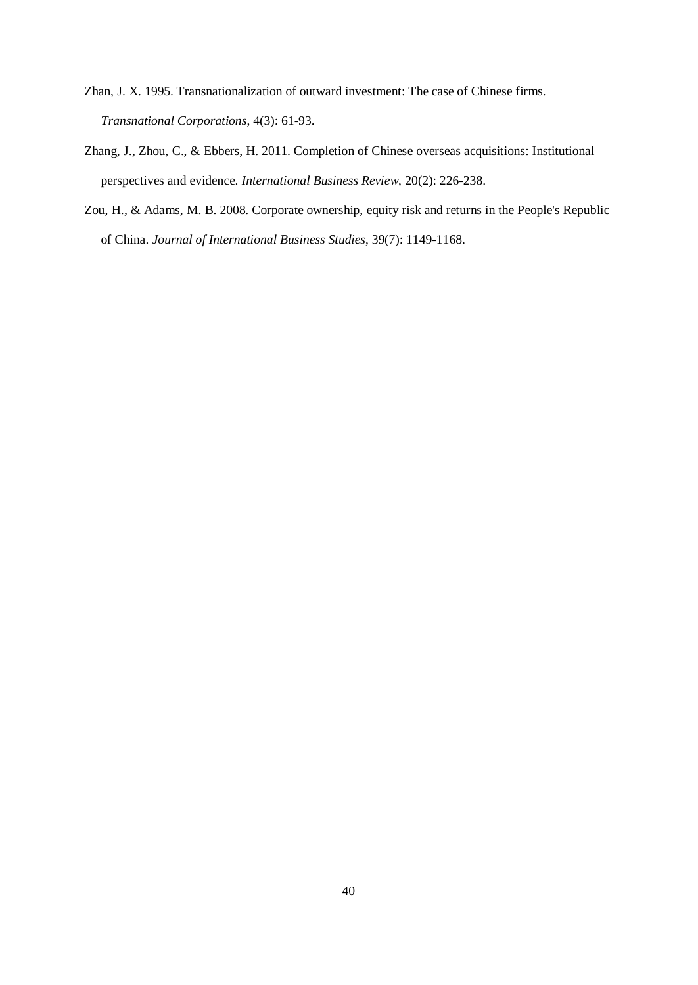- Zhan, J. X. 1995. Transnationalization of outward investment: The case of Chinese firms. *Transnational Corporations*, 4(3): 61-93.
- Zhang, J., Zhou, C., & Ebbers, H. 2011. Completion of Chinese overseas acquisitions: Institutional perspectives and evidence. *International Business Review*, 20(2): 226-238.
- Zou, H., & Adams, M. B. 2008. Corporate ownership, equity risk and returns in the People's Republic of China. *Journal of International Business Studies*, 39(7): 1149-1168.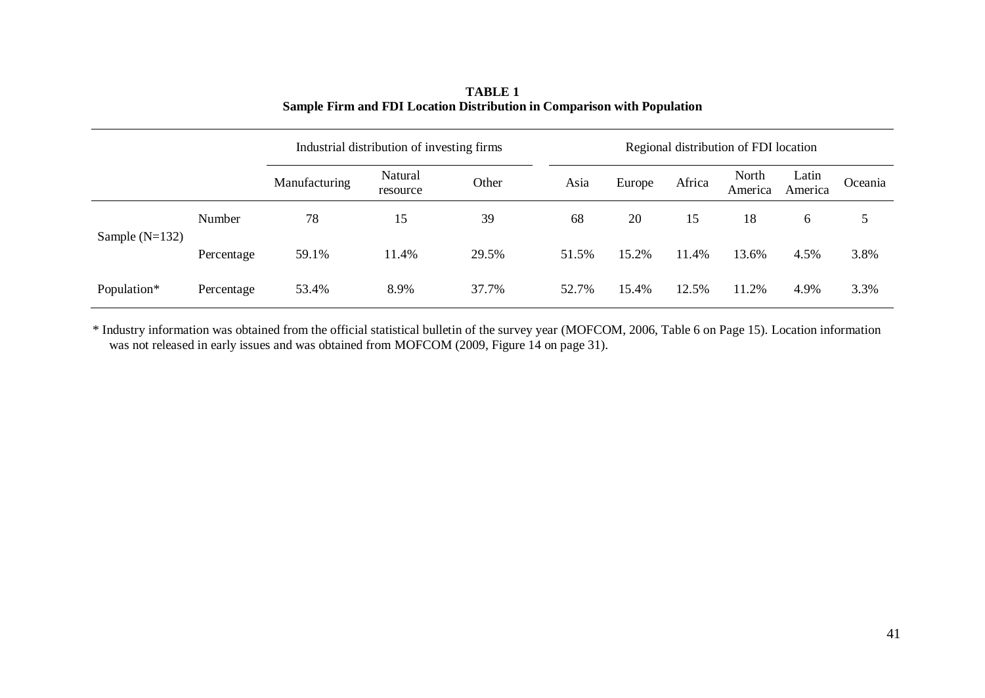|                  |            | Industrial distribution of investing firms |                     |       | Regional distribution of FDI location |        |        |                  |                  |         |  |
|------------------|------------|--------------------------------------------|---------------------|-------|---------------------------------------|--------|--------|------------------|------------------|---------|--|
|                  |            | Manufacturing                              | Natural<br>resource | Other | Asia                                  | Europe | Africa | North<br>America | Latin<br>America | Oceania |  |
| Sample $(N=132)$ | Number     | 78                                         | 15                  | 39    | 68                                    | 20     | 15     | 18               | 6                | 5       |  |
|                  | Percentage | 59.1%                                      | 11.4%               | 29.5% | 51.5%                                 | 15.2%  | 11.4%  | 13.6%            | 4.5%             | 3.8%    |  |
| Population*      | Percentage | 53.4%                                      | 8.9%                | 37.7% | 52.7%                                 | 15.4%  | 12.5%  | 11.2%            | 4.9%             | 3.3%    |  |

| <b>TABLE 1</b>                                                                 |
|--------------------------------------------------------------------------------|
| <b>Sample Firm and FDI Location Distribution in Comparison with Population</b> |

\* Industry information was obtained from the official statistical bulletin of the survey year (MOFCOM, 2006, Table 6 on Page 15). Location information was not released in early issues and was obtained from MOFCOM (2009, Figure 14 on page 31).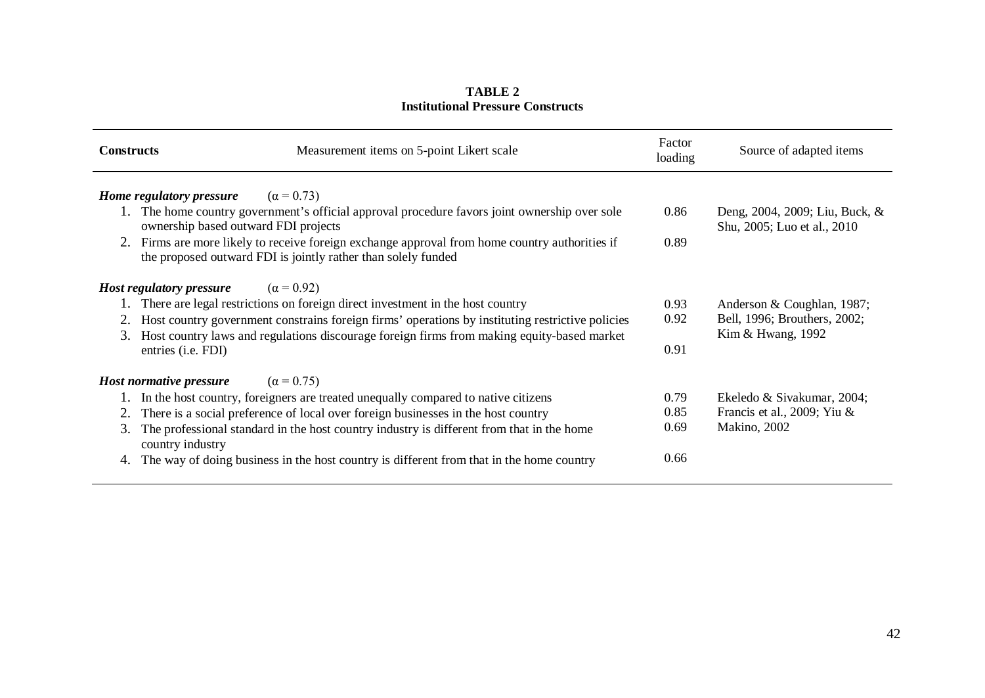| TABLE 2                                  |  |  |  |  |  |  |  |
|------------------------------------------|--|--|--|--|--|--|--|
| <b>Institutional Pressure Constructs</b> |  |  |  |  |  |  |  |

| <b>Constructs</b> | Measurement items on 5-point Likert scale                                                                                                                                           |              | Source of adapted items                                       |
|-------------------|-------------------------------------------------------------------------------------------------------------------------------------------------------------------------------------|--------------|---------------------------------------------------------------|
|                   | Home regulatory pressure<br>$(\alpha = 0.73)$<br>The home country government's official approval procedure favors joint ownership over sole<br>ownership based outward FDI projects | 0.86         | Deng, 2004, 2009; Liu, Buck, &<br>Shu, 2005; Luo et al., 2010 |
| 2.                | Firms are more likely to receive foreign exchange approval from home country authorities if<br>the proposed outward FDI is jointly rather than solely funded                        | 0.89         |                                                               |
|                   | <b>Host regulatory pressure</b><br>$(\alpha = 0.92)$                                                                                                                                |              |                                                               |
| 2.                | There are legal restrictions on foreign direct investment in the host country<br>Host country government constrains foreign firms' operations by instituting restrictive policies   | 0.93<br>0.92 | Anderson & Coughlan, 1987;<br>Bell, 1996; Brouthers, 2002;    |
| 3.                | Host country laws and regulations discourage foreign firms from making equity-based market<br>entries ( <i>i.e. FDI</i> )                                                           | 0.91         | Kim & Hwang, 1992                                             |
|                   | Host normative pressure<br>$(\alpha = 0.75)$                                                                                                                                        |              |                                                               |
|                   | In the host country, foreigners are treated unequally compared to native citizens                                                                                                   | 0.79         | Ekeledo & Sivakumar, 2004;                                    |
| 2.                | There is a social preference of local over foreign businesses in the host country                                                                                                   | 0.85         | Francis et al., 2009; Yiu &                                   |
| 3.                | The professional standard in the host country industry is different from that in the home<br>country industry                                                                       | 0.69         | Makino, 2002                                                  |
| 4.                | The way of doing business in the host country is different from that in the home country                                                                                            | 0.66         |                                                               |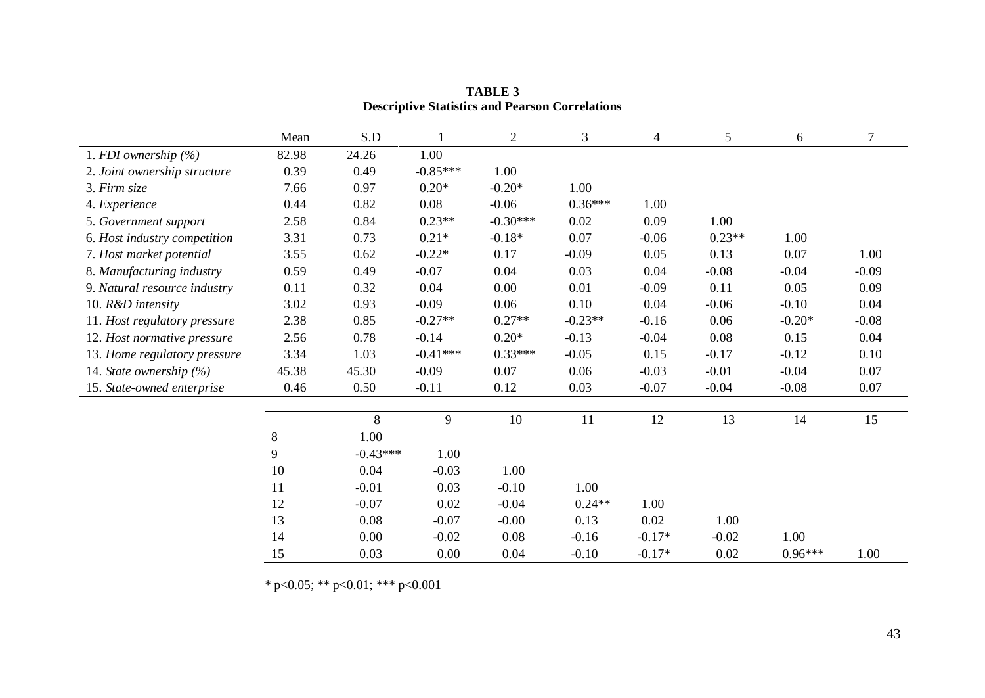|                              | Mean  | S.D        |            | $\overline{2}$ | $\overline{3}$ | $\overline{4}$ | $5\overline{)}$ | 6         | $\tau$  |
|------------------------------|-------|------------|------------|----------------|----------------|----------------|-----------------|-----------|---------|
| 1. FDI ownership $(%)$       | 82.98 | 24.26      | 1.00       |                |                |                |                 |           |         |
| 2. Joint ownership structure | 0.39  | 0.49       | $-0.85***$ | 1.00           |                |                |                 |           |         |
| 3. Firm size                 | 7.66  | 0.97       | $0.20*$    | $-0.20*$       | 1.00           |                |                 |           |         |
| 4. Experience                | 0.44  | 0.82       | 0.08       | $-0.06$        | $0.36***$      | 1.00           |                 |           |         |
| 5. Government support        | 2.58  | 0.84       | $0.23**$   | $-0.30***$     | 0.02           | 0.09           | 1.00            |           |         |
| 6. Host industry competition | 3.31  | 0.73       | $0.21*$    | $-0.18*$       | 0.07           | $-0.06$        | $0.23**$        | 1.00      |         |
| 7. Host market potential     | 3.55  | 0.62       | $-0.22*$   | 0.17           | $-0.09$        | 0.05           | 0.13            | 0.07      | 1.00    |
| 8. Manufacturing industry    | 0.59  | 0.49       | $-0.07$    | 0.04           | 0.03           | 0.04           | $-0.08$         | $-0.04$   | $-0.09$ |
| 9. Natural resource industry | 0.11  | 0.32       | 0.04       | 0.00           | 0.01           | $-0.09$        | 0.11            | 0.05      | 0.09    |
| 10. R&D intensity            | 3.02  | 0.93       | $-0.09$    | 0.06           | 0.10           | 0.04           | $-0.06$         | $-0.10$   | 0.04    |
| 11. Host regulatory pressure | 2.38  | 0.85       | $-0.27**$  | $0.27**$       | $-0.23**$      | $-0.16$        | 0.06            | $-0.20*$  | $-0.08$ |
| 12. Host normative pressure  | 2.56  | 0.78       | $-0.14$    | $0.20*$        | $-0.13$        | $-0.04$        | 0.08            | 0.15      | 0.04    |
| 13. Home regulatory pressure | 3.34  | 1.03       | $-0.41***$ | $0.33***$      | $-0.05$        | 0.15           | $-0.17$         | $-0.12$   | 0.10    |
| 14. State ownership $(\%)$   | 45.38 | 45.30      | $-0.09$    | 0.07           | 0.06           | $-0.03$        | $-0.01$         | $-0.04$   | 0.07    |
| 15. State-owned enterprise   | 0.46  | 0.50       | $-0.11$    | 0.12           | 0.03           | $-0.07$        | $-0.04$         | $-0.08$   | 0.07    |
|                              |       | 8          | 9          | 10             | 11             | 12             | 13              | 14        | 15      |
|                              | 8     | 1.00       |            |                |                |                |                 |           |         |
|                              | 9     | $-0.43***$ | 1.00       |                |                |                |                 |           |         |
|                              | 10    | 0.04       | $-0.03$    | 1.00           |                |                |                 |           |         |
|                              | 11    | $-0.01$    | 0.03       | $-0.10$        | 1.00           |                |                 |           |         |
|                              | 12    | $-0.07$    | 0.02       | $-0.04$        | $0.24**$       | 1.00           |                 |           |         |
|                              | 13    | 0.08       | $-0.07$    | $-0.00$        | 0.13           | 0.02           | 1.00            |           |         |
|                              | 14    | 0.00       | $-0.02$    | 0.08           | $-0.16$        | $-0.17*$       | $-0.02$         | 1.00      |         |
|                              | 15    | 0.03       | 0.00       | 0.04           | $-0.10$        | $-0.17*$       | 0.02            | $0.96***$ | 1.00    |

**TABLE 3 Descriptive Statistics and Pearson Correlations**

\* p<0.05; \*\* p<0.01; \*\*\* p<0.001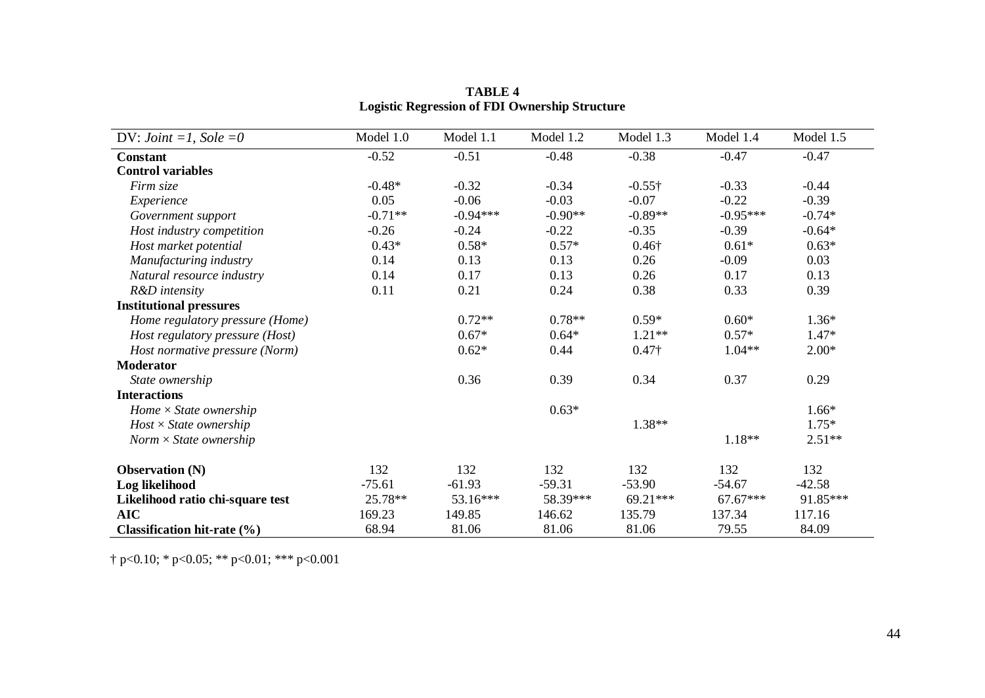| DV: Joint =1, Sole =0            | Model 1.0 | Model 1.1  | Model 1.2 | Model 1.3      | Model 1.4  | Model 1.5 |
|----------------------------------|-----------|------------|-----------|----------------|------------|-----------|
| <b>Constant</b>                  | $-0.52$   | $-0.51$    | $-0.48$   | $-0.38$        | $-0.47$    | $-0.47$   |
| <b>Control variables</b>         |           |            |           |                |            |           |
| Firm size                        | $-0.48*$  | $-0.32$    | $-0.34$   | $-0.55\dagger$ | $-0.33$    | $-0.44$   |
| Experience                       | 0.05      | $-0.06$    | $-0.03$   | $-0.07$        | $-0.22$    | $-0.39$   |
| Government support               | $-0.71**$ | $-0.94***$ | $-0.90**$ | $-0.89**$      | $-0.95***$ | $-0.74*$  |
| Host industry competition        | $-0.26$   | $-0.24$    | $-0.22$   | $-0.35$        | $-0.39$    | $-0.64*$  |
| Host market potential            | $0.43*$   | $0.58*$    | $0.57*$   | $0.46\dagger$  | $0.61*$    | $0.63*$   |
| Manufacturing industry           | 0.14      | 0.13       | 0.13      | 0.26           | $-0.09$    | 0.03      |
| Natural resource industry        | 0.14      | 0.17       | 0.13      | 0.26           | 0.17       | 0.13      |
| R&D intensity                    | 0.11      | 0.21       | 0.24      | 0.38           | 0.33       | 0.39      |
| <b>Institutional pressures</b>   |           |            |           |                |            |           |
| Home regulatory pressure (Home)  |           | $0.72**$   | $0.78**$  | $0.59*$        | $0.60*$    | $1.36*$   |
| Host regulatory pressure (Host)  |           | $0.67*$    | $0.64*$   | $1.21**$       | $0.57*$    | $1.47*$   |
| Host normative pressure (Norm)   |           | $0.62*$    | 0.44      | $0.47\dagger$  | $1.04**$   | $2.00*$   |
| <b>Moderator</b>                 |           |            |           |                |            |           |
| State ownership                  |           | 0.36       | 0.39      | 0.34           | 0.37       | 0.29      |
| <b>Interactions</b>              |           |            |           |                |            |           |
| Home $\times$ State ownership    |           |            | $0.63*$   |                |            | $1.66*$   |
| $Host \times State$ ownership    |           |            |           | 1.38**         |            | $1.75*$   |
| $Norm \times State$ ownership    |           |            |           |                | $1.18**$   | $2.51**$  |
| <b>Observation (N)</b>           | 132       | 132        | 132       | 132            | 132        | 132       |
| Log likelihood                   | $-75.61$  | $-61.93$   | $-59.31$  | $-53.90$       | $-54.67$   | $-42.58$  |
| Likelihood ratio chi-square test | 25.78**   | 53.16***   | 58.39***  | $69.21***$     | $67.67***$ | 91.85***  |
| <b>AIC</b>                       | 169.23    | 149.85     | 146.62    | 135.79         | 137.34     | 117.16    |
| Classification hit-rate (%)      | 68.94     | 81.06      | 81.06     | 81.06          | 79.55      | 84.09     |

**TABLE 4 Logistic Regression of FDI Ownership Structure**

† p<0.10; \* p<0.05; \*\* p<0.01; \*\*\* p<0.001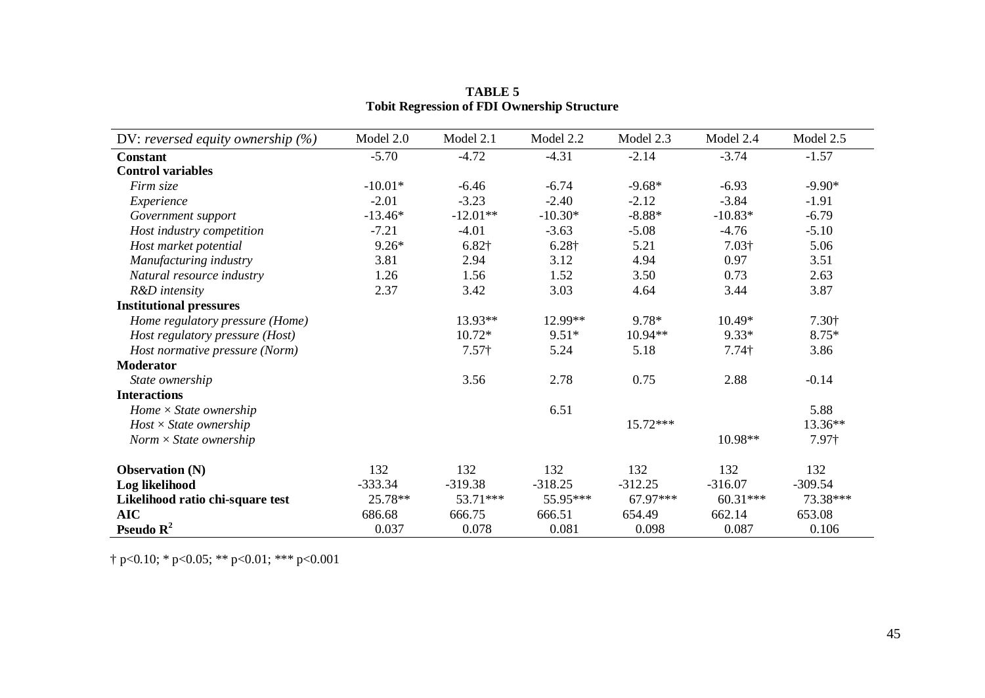| DV: reversed equity ownership $(\%)$ | Model 2.0 | Model 2.1         | Model 2.2     | Model 2.3  | Model 2.4     | Model 2.5 |
|--------------------------------------|-----------|-------------------|---------------|------------|---------------|-----------|
| <b>Constant</b>                      | $-5.70$   | $-4.72$           | $-4.31$       | $-2.14$    | $-3.74$       | $-1.57$   |
| <b>Control variables</b>             |           |                   |               |            |               |           |
| Firm size                            | $-10.01*$ | $-6.46$           | $-6.74$       | $-9.68*$   | $-6.93$       | $-9.90*$  |
| Experience                           | $-2.01$   | $-3.23$           | $-2.40$       | $-2.12$    | $-3.84$       | $-1.91$   |
| Government support                   | $-13.46*$ | $-12.01**$        | $-10.30*$     | $-8.88*$   | $-10.83*$     | $-6.79$   |
| Host industry competition            | $-7.21$   | $-4.01$           | $-3.63$       | $-5.08$    | $-4.76$       | $-5.10$   |
| Host market potential                | $9.26*$   | $6.82\dagger$     | $6.28\dagger$ | 5.21       | $7.03\dagger$ | 5.06      |
| Manufacturing industry               | 3.81      | 2.94              | 3.12          | 4.94       | 0.97          | 3.51      |
| Natural resource industry            | 1.26      | 1.56              | 1.52          | 3.50       | 0.73          | 2.63      |
| R&D intensity                        | 2.37      | 3.42              | 3.03          | 4.64       | 3.44          | 3.87      |
| <b>Institutional pressures</b>       |           |                   |               |            |               |           |
| Home regulatory pressure (Home)      |           | 13.93**           | 12.99**       | $9.78*$    | 10.49*        | 7.30†     |
| Host regulatory pressure (Host)      |           | $10.72*$          | $9.51*$       | $10.94**$  | $9.33*$       | $8.75*$   |
| Host normative pressure (Norm)       |           | 7.57 <sup>†</sup> | 5.24          | 5.18       | $7.74\dagger$ | 3.86      |
| <b>Moderator</b>                     |           |                   |               |            |               |           |
| State ownership                      |           | 3.56              | 2.78          | 0.75       | 2.88          | $-0.14$   |
| <b>Interactions</b>                  |           |                   |               |            |               |           |
| $Home \times State$ ownership        |           |                   | 6.51          |            |               | 5.88      |
| $Host \times State$ ownership        |           |                   |               | $15.72***$ |               | 13.36**   |
| $Norm \times State$ ownership        |           |                   |               |            | 10.98**       | 7.97†     |
| <b>Observation (N)</b>               | 132       | 132               | 132           | 132        | 132           | 132       |
| Log likelihood                       | $-333.34$ | $-319.38$         | $-318.25$     | $-312.25$  | $-316.07$     | $-309.54$ |
| Likelihood ratio chi-square test     | 25.78**   | 53.71***          | 55.95***      | 67.97***   | $60.31***$    | 73.38***  |
| <b>AIC</b>                           | 686.68    | 666.75            | 666.51        | 654.49     | 662.14        | 653.08    |
| <b>Pseudo</b> $\mathbb{R}^2$         | 0.037     | 0.078             | 0.081         | 0.098      | 0.087         | 0.106     |

**TABLE 5 Tobit Regression of FDI Ownership Structure**

† p<0.10; \* p<0.05; \*\* p<0.01; \*\*\* p<0.001